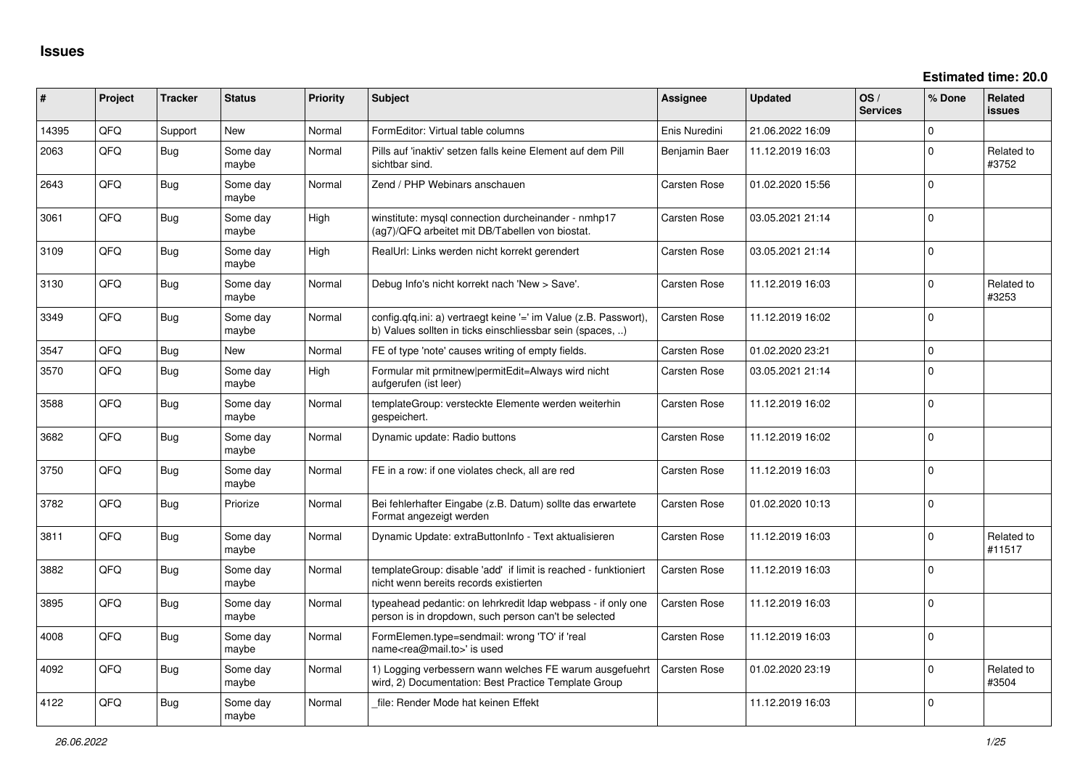**Estimated time: 20.0**

| ∦     | Project | <b>Tracker</b> | <b>Status</b>     | <b>Priority</b> | <b>Subject</b>                                                                                                                | <b>Assignee</b>     | <b>Updated</b>   | OS/<br><b>Services</b> | % Done         | <b>Related</b><br><b>issues</b> |
|-------|---------|----------------|-------------------|-----------------|-------------------------------------------------------------------------------------------------------------------------------|---------------------|------------------|------------------------|----------------|---------------------------------|
| 14395 | QFQ     | Support        | <b>New</b>        | Normal          | FormEditor: Virtual table columns                                                                                             | Enis Nuredini       | 21.06.2022 16:09 |                        | 0              |                                 |
| 2063  | QFQ     | <b>Bug</b>     | Some day<br>maybe | Normal          | Pills auf 'inaktiv' setzen falls keine Element auf dem Pill<br>sichtbar sind.                                                 | Benjamin Baer       | 11.12.2019 16:03 |                        | $\mathbf 0$    | Related to<br>#3752             |
| 2643  | QFQ     | Bug            | Some day<br>maybe | Normal          | Zend / PHP Webinars anschauen                                                                                                 | Carsten Rose        | 01.02.2020 15:56 |                        | $\Omega$       |                                 |
| 3061  | QFQ     | Bug            | Some day<br>maybe | High            | winstitute: mysql connection durcheinander - nmhp17<br>(ag7)/QFQ arbeitet mit DB/Tabellen von biostat.                        | Carsten Rose        | 03.05.2021 21:14 |                        | $\Omega$       |                                 |
| 3109  | QFQ     | Bug            | Some day<br>maybe | High            | RealUrl: Links werden nicht korrekt gerendert                                                                                 | Carsten Rose        | 03.05.2021 21:14 |                        | $\Omega$       |                                 |
| 3130  | QFQ     | <b>Bug</b>     | Some day<br>maybe | Normal          | Debug Info's nicht korrekt nach 'New > Save'.                                                                                 | Carsten Rose        | 11.12.2019 16:03 |                        | $\Omega$       | Related to<br>#3253             |
| 3349  | QFQ     | <b>Bug</b>     | Some day<br>maybe | Normal          | config.qfq.ini: a) vertraegt keine '=' im Value (z.B. Passwort),<br>b) Values sollten in ticks einschliessbar sein (spaces, ) | Carsten Rose        | 11.12.2019 16:02 |                        | $\Omega$       |                                 |
| 3547  | QFQ     | Bug            | <b>New</b>        | Normal          | FE of type 'note' causes writing of empty fields.                                                                             | Carsten Rose        | 01.02.2020 23:21 |                        | $\overline{0}$ |                                 |
| 3570  | QFQ     | Bug            | Some day<br>maybe | High            | Formular mit prmitnew permitEdit=Always wird nicht<br>aufgerufen (ist leer)                                                   | Carsten Rose        | 03.05.2021 21:14 |                        | $\mathbf{0}$   |                                 |
| 3588  | QFQ     | <b>Bug</b>     | Some day<br>maybe | Normal          | templateGroup: versteckte Elemente werden weiterhin<br>gespeichert.                                                           | Carsten Rose        | 11.12.2019 16:02 |                        | $\overline{0}$ |                                 |
| 3682  | QFQ     | Bug            | Some day<br>maybe | Normal          | Dynamic update: Radio buttons                                                                                                 | Carsten Rose        | 11.12.2019 16:02 |                        | $\mathbf{0}$   |                                 |
| 3750  | QFQ     | <b>Bug</b>     | Some day<br>maybe | Normal          | FE in a row: if one violates check, all are red                                                                               | Carsten Rose        | 11.12.2019 16:03 |                        | $\Omega$       |                                 |
| 3782  | QFQ     | <b>Bug</b>     | Priorize          | Normal          | Bei fehlerhafter Eingabe (z.B. Datum) sollte das erwartete<br>Format angezeigt werden                                         | Carsten Rose        | 01.02.2020 10:13 |                        | $\Omega$       |                                 |
| 3811  | QFQ     | <b>Bug</b>     | Some day<br>maybe | Normal          | Dynamic Update: extraButtonInfo - Text aktualisieren                                                                          | Carsten Rose        | 11.12.2019 16:03 |                        | $\Omega$       | Related to<br>#11517            |
| 3882  | QFQ     | Bug            | Some day<br>maybe | Normal          | templateGroup: disable 'add' if limit is reached - funktioniert<br>nicht wenn bereits records existierten                     | <b>Carsten Rose</b> | 11.12.2019 16:03 |                        | $\Omega$       |                                 |
| 3895  | QFQ     | Bug            | Some day<br>maybe | Normal          | typeahead pedantic: on lehrkredit Idap webpass - if only one<br>person is in dropdown, such person can't be selected          | <b>Carsten Rose</b> | 11.12.2019 16:03 |                        | $\Omega$       |                                 |
| 4008  | QFQ     | <b>Bug</b>     | Some day<br>maybe | Normal          | FormElemen.type=sendmail: wrong 'TO' if 'real<br>name <rea@mail.to>' is used</rea@mail.to>                                    | Carsten Rose        | 11.12.2019 16:03 |                        | $\Omega$       |                                 |
| 4092  | QFQ     | Bug            | Some day<br>maybe | Normal          | 1) Logging verbessern wann welches FE warum ausgefuehrt<br>wird, 2) Documentation: Best Practice Template Group               | Carsten Rose        | 01.02.2020 23:19 |                        | 0              | Related to<br>#3504             |
| 4122  | QFQ     | Bug            | Some day<br>maybe | Normal          | file: Render Mode hat keinen Effekt                                                                                           |                     | 11.12.2019 16:03 |                        | $\mathbf 0$    |                                 |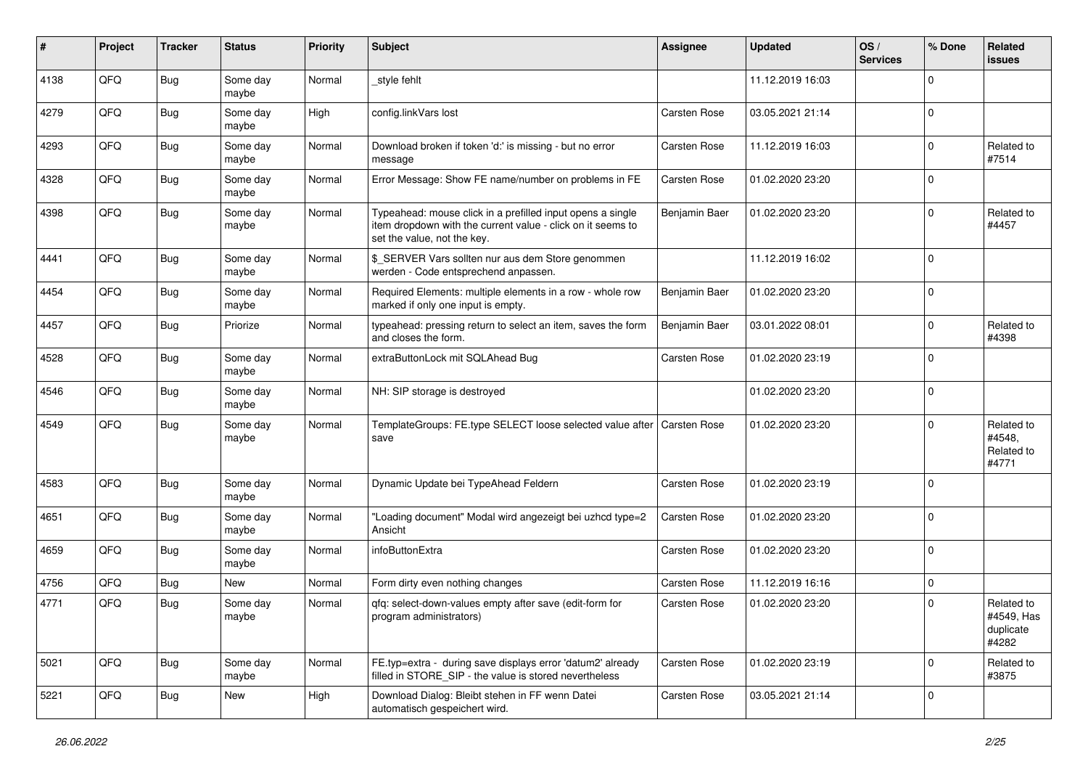| #    | Project | <b>Tracker</b> | <b>Status</b>     | <b>Priority</b> | Subject                                                                                                                                                  | <b>Assignee</b>     | <b>Updated</b>   | OS/<br><b>Services</b> | % Done      | Related<br>issues                              |
|------|---------|----------------|-------------------|-----------------|----------------------------------------------------------------------------------------------------------------------------------------------------------|---------------------|------------------|------------------------|-------------|------------------------------------------------|
| 4138 | QFQ     | Bug            | Some day<br>maybe | Normal          | _style fehlt                                                                                                                                             |                     | 11.12.2019 16:03 |                        | $\Omega$    |                                                |
| 4279 | QFQ     | Bug            | Some day<br>maybe | High            | config.linkVars lost                                                                                                                                     | <b>Carsten Rose</b> | 03.05.2021 21:14 |                        | $\Omega$    |                                                |
| 4293 | QFQ     | <b>Bug</b>     | Some day<br>maybe | Normal          | Download broken if token 'd:' is missing - but no error<br>message                                                                                       | Carsten Rose        | 11.12.2019 16:03 |                        | $\Omega$    | Related to<br>#7514                            |
| 4328 | QFQ     | Bug            | Some day<br>maybe | Normal          | Error Message: Show FE name/number on problems in FE                                                                                                     | Carsten Rose        | 01.02.2020 23:20 |                        | $\Omega$    |                                                |
| 4398 | QFQ     | <b>Bug</b>     | Some day<br>maybe | Normal          | Typeahead: mouse click in a prefilled input opens a single<br>item dropdown with the current value - click on it seems to<br>set the value, not the key. | Benjamin Baer       | 01.02.2020 23:20 |                        | $\Omega$    | Related to<br>#4457                            |
| 4441 | QFQ     | Bug            | Some day<br>maybe | Normal          | \$_SERVER Vars sollten nur aus dem Store genommen<br>werden - Code entsprechend anpassen.                                                                |                     | 11.12.2019 16:02 |                        | $\Omega$    |                                                |
| 4454 | QFQ     | <b>Bug</b>     | Some day<br>maybe | Normal          | Required Elements: multiple elements in a row - whole row<br>marked if only one input is empty.                                                          | Benjamin Baer       | 01.02.2020 23:20 |                        | $\Omega$    |                                                |
| 4457 | QFQ     | Bug            | Priorize          | Normal          | typeahead: pressing return to select an item, saves the form<br>and closes the form.                                                                     | Benjamin Baer       | 03.01.2022 08:01 |                        | $\Omega$    | Related to<br>#4398                            |
| 4528 | QFQ     | Bug            | Some day<br>maybe | Normal          | extraButtonLock mit SQLAhead Bug                                                                                                                         | <b>Carsten Rose</b> | 01.02.2020 23:19 |                        | $\Omega$    |                                                |
| 4546 | QFQ     | Bug            | Some day<br>maybe | Normal          | NH: SIP storage is destroyed                                                                                                                             |                     | 01.02.2020 23:20 |                        | $\mathbf 0$ |                                                |
| 4549 | QFQ     | Bug            | Some day<br>maybe | Normal          | TemplateGroups: FE.type SELECT loose selected value after<br>save                                                                                        | <b>Carsten Rose</b> | 01.02.2020 23:20 |                        | U           | Related to<br>#4548,<br>Related to<br>#4771    |
| 4583 | QFQ     | Bug            | Some day<br>maybe | Normal          | Dynamic Update bei TypeAhead Feldern                                                                                                                     | <b>Carsten Rose</b> | 01.02.2020 23:19 |                        | 0           |                                                |
| 4651 | QFQ     | <b>Bug</b>     | Some day<br>maybe | Normal          | "Loading document" Modal wird angezeigt bei uzhcd type=2<br>Ansicht                                                                                      | Carsten Rose        | 01.02.2020 23:20 |                        | $\Omega$    |                                                |
| 4659 | QFQ     | Bug            | Some day<br>maybe | Normal          | infoButtonExtra                                                                                                                                          | Carsten Rose        | 01.02.2020 23:20 |                        | $\Omega$    |                                                |
| 4756 | QFQ     | Bug            | <b>New</b>        | Normal          | Form dirty even nothing changes                                                                                                                          | Carsten Rose        | 11.12.2019 16:16 |                        | 0           |                                                |
| 4771 | QFQ     | <b>Bug</b>     | Some day<br>maybe | Normal          | qfq: select-down-values empty after save (edit-form for<br>program administrators)                                                                       | Carsten Rose        | 01.02.2020 23:20 |                        | $\Omega$    | Related to<br>#4549, Has<br>duplicate<br>#4282 |
| 5021 | QFQ     | <b>Bug</b>     | Some day<br>maybe | Normal          | FE.typ=extra - during save displays error 'datum2' already<br>filled in STORE SIP - the value is stored nevertheless                                     | <b>Carsten Rose</b> | 01.02.2020 23:19 |                        | $\Omega$    | Related to<br>#3875                            |
| 5221 | QFQ     | Bug            | New               | High            | Download Dialog: Bleibt stehen in FF wenn Datei<br>automatisch gespeichert wird.                                                                         | Carsten Rose        | 03.05.2021 21:14 |                        | $\mathbf 0$ |                                                |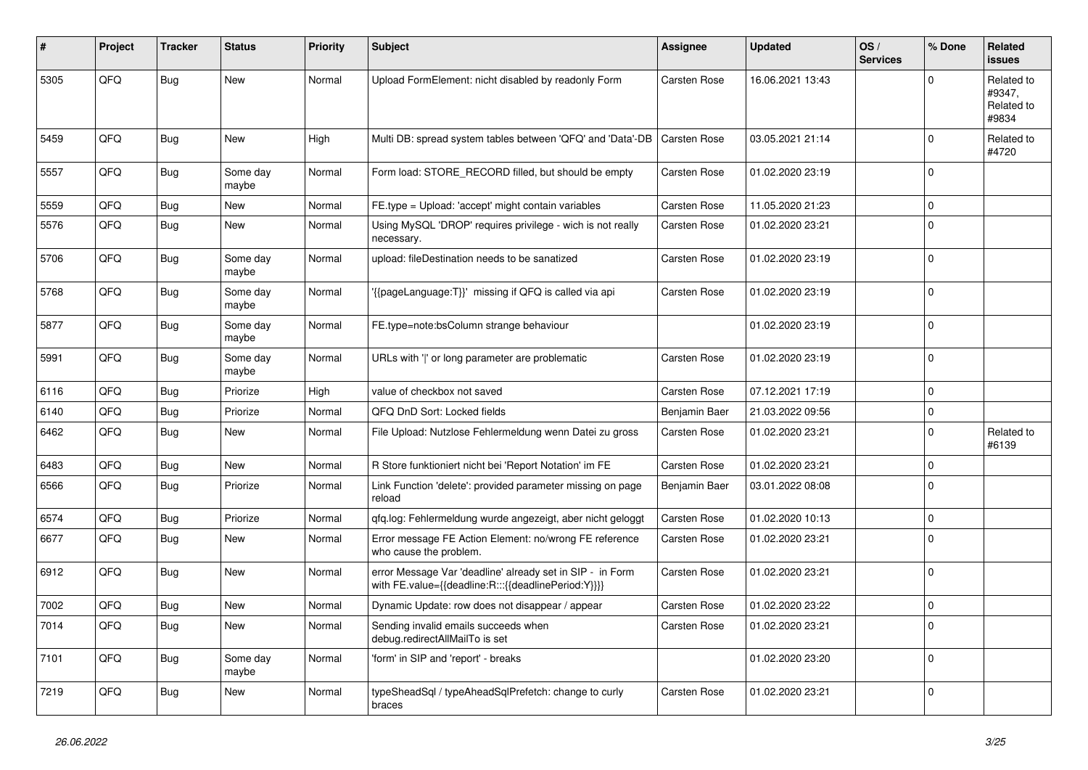| #    | <b>Project</b> | <b>Tracker</b> | <b>Status</b>     | <b>Priority</b> | <b>Subject</b>                                                                                                   | Assignee            | <b>Updated</b>   | OS/<br><b>Services</b> | % Done         | Related<br>issues                           |
|------|----------------|----------------|-------------------|-----------------|------------------------------------------------------------------------------------------------------------------|---------------------|------------------|------------------------|----------------|---------------------------------------------|
| 5305 | QFQ            | <b>Bug</b>     | New               | Normal          | Upload FormElement: nicht disabled by readonly Form                                                              | Carsten Rose        | 16.06.2021 13:43 |                        | $\mathbf 0$    | Related to<br>#9347,<br>Related to<br>#9834 |
| 5459 | QFQ            | Bug            | <b>New</b>        | High            | Multi DB: spread system tables between 'QFQ' and 'Data'-DB                                                       | <b>Carsten Rose</b> | 03.05.2021 21:14 |                        | $\Omega$       | Related to<br>#4720                         |
| 5557 | QFQ            | Bug            | Some day<br>maybe | Normal          | Form load: STORE RECORD filled, but should be empty                                                              | Carsten Rose        | 01.02.2020 23:19 |                        | $\Omega$       |                                             |
| 5559 | QFQ            | Bug            | <b>New</b>        | Normal          | FE.type = Upload: 'accept' might contain variables                                                               | Carsten Rose        | 11.05.2020 21:23 |                        | $\mathbf{0}$   |                                             |
| 5576 | QFQ            | Bug            | <b>New</b>        | Normal          | Using MySQL 'DROP' requires privilege - wich is not really<br>necessary.                                         | <b>Carsten Rose</b> | 01.02.2020 23:21 |                        | $\Omega$       |                                             |
| 5706 | QFQ            | Bug            | Some day<br>maybe | Normal          | upload: fileDestination needs to be sanatized                                                                    | Carsten Rose        | 01.02.2020 23:19 |                        | $\mathbf{0}$   |                                             |
| 5768 | QFQ            | Bug            | Some day<br>maybe | Normal          | {{pageLanguage:T}}' missing if QFQ is called via api                                                             | Carsten Rose        | 01.02.2020 23:19 |                        | $\Omega$       |                                             |
| 5877 | QFQ            | Bug            | Some day<br>maybe | Normal          | FE.type=note:bsColumn strange behaviour                                                                          |                     | 01.02.2020 23:19 |                        | $\Omega$       |                                             |
| 5991 | QFQ            | Bug            | Some day<br>maybe | Normal          | URLs with ' ' or long parameter are problematic                                                                  | Carsten Rose        | 01.02.2020 23:19 |                        | $\mathbf{0}$   |                                             |
| 6116 | QFQ            | <b>Bug</b>     | Priorize          | High            | value of checkbox not saved                                                                                      | Carsten Rose        | 07.12.2021 17:19 |                        | $\mathbf 0$    |                                             |
| 6140 | QFQ            | <b>Bug</b>     | Priorize          | Normal          | QFQ DnD Sort: Locked fields                                                                                      | Benjamin Baer       | 21.03.2022 09:56 |                        | $\mathbf 0$    |                                             |
| 6462 | QFQ            | <b>Bug</b>     | New               | Normal          | File Upload: Nutzlose Fehlermeldung wenn Datei zu gross                                                          | Carsten Rose        | 01.02.2020 23:21 |                        | $\mathbf 0$    | Related to<br>#6139                         |
| 6483 | QFQ            | <b>Bug</b>     | New               | Normal          | R Store funktioniert nicht bei 'Report Notation' im FE                                                           | <b>Carsten Rose</b> | 01.02.2020 23:21 |                        | $\Omega$       |                                             |
| 6566 | QFQ            | <b>Bug</b>     | Priorize          | Normal          | Link Function 'delete': provided parameter missing on page<br>reload                                             | Benjamin Baer       | 03.01.2022 08:08 |                        | $\Omega$       |                                             |
| 6574 | QFQ            | <b>Bug</b>     | Priorize          | Normal          | qfq.log: Fehlermeldung wurde angezeigt, aber nicht geloggt                                                       | Carsten Rose        | 01.02.2020 10:13 |                        | $\overline{0}$ |                                             |
| 6677 | QFQ            | <b>Bug</b>     | <b>New</b>        | Normal          | Error message FE Action Element: no/wrong FE reference<br>who cause the problem.                                 | Carsten Rose        | 01.02.2020 23:21 |                        | $\Omega$       |                                             |
| 6912 | QFQ            | Bug            | New               | Normal          | error Message Var 'deadline' already set in SIP - in Form<br>with FE.value={{deadline:R:::{{deadlinePeriod:Y}}}} | Carsten Rose        | 01.02.2020 23:21 |                        | $\Omega$       |                                             |
| 7002 | QFQ            | <b>Bug</b>     | <b>New</b>        | Normal          | Dynamic Update: row does not disappear / appear                                                                  | Carsten Rose        | 01.02.2020 23:22 |                        | $\mathbf{0}$   |                                             |
| 7014 | QFQ            | Bug            | New               | Normal          | Sending invalid emails succeeds when<br>debug.redirectAllMailTo is set                                           | Carsten Rose        | 01.02.2020 23:21 |                        | $\Omega$       |                                             |
| 7101 | QFQ            | <b>Bug</b>     | Some day<br>maybe | Normal          | 'form' in SIP and 'report' - breaks                                                                              |                     | 01.02.2020 23:20 |                        | $\Omega$       |                                             |
| 7219 | QFQ            | <b>Bug</b>     | <b>New</b>        | Normal          | typeSheadSql / typeAheadSqlPrefetch: change to curly<br>braces                                                   | Carsten Rose        | 01.02.2020 23:21 |                        | $\Omega$       |                                             |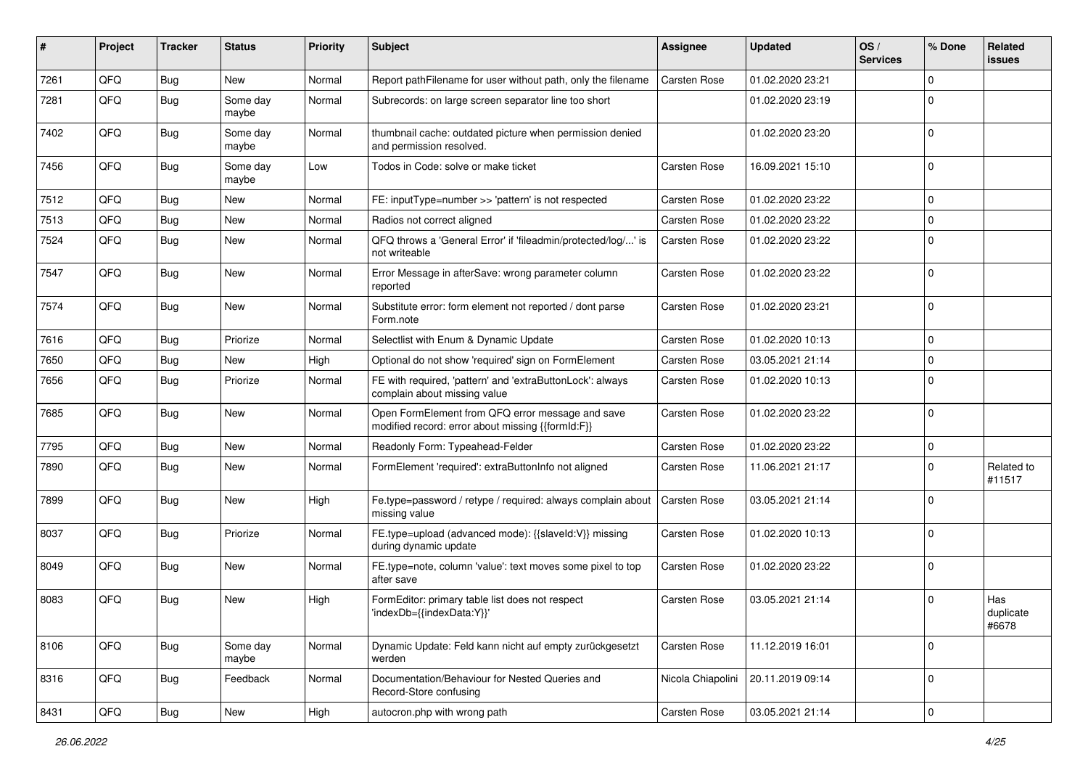| #    | Project | <b>Tracker</b> | <b>Status</b>     | <b>Priority</b> | <b>Subject</b>                                                                                        | <b>Assignee</b>     | <b>Updated</b>   | OS/<br><b>Services</b> | % Done       | Related<br>issues         |
|------|---------|----------------|-------------------|-----------------|-------------------------------------------------------------------------------------------------------|---------------------|------------------|------------------------|--------------|---------------------------|
| 7261 | QFQ     | Bug            | New               | Normal          | Report pathFilename for user without path, only the filename                                          | Carsten Rose        | 01.02.2020 23:21 |                        | $\mathbf{0}$ |                           |
| 7281 | QFQ     | <b>Bug</b>     | Some day<br>maybe | Normal          | Subrecords: on large screen separator line too short                                                  |                     | 01.02.2020 23:19 |                        | $\mathbf 0$  |                           |
| 7402 | QFQ     | <b>Bug</b>     | Some day<br>maybe | Normal          | thumbnail cache: outdated picture when permission denied<br>and permission resolved.                  |                     | 01.02.2020 23:20 |                        | $\mathbf 0$  |                           |
| 7456 | QFQ     | <b>Bug</b>     | Some day<br>maybe | Low             | Todos in Code: solve or make ticket                                                                   | Carsten Rose        | 16.09.2021 15:10 |                        | $\mathbf 0$  |                           |
| 7512 | QFQ     | Bug            | <b>New</b>        | Normal          | FE: inputType=number >> 'pattern' is not respected                                                    | Carsten Rose        | 01.02.2020 23:22 |                        | $\mathbf 0$  |                           |
| 7513 | QFQ     | <b>Bug</b>     | <b>New</b>        | Normal          | Radios not correct aligned                                                                            | Carsten Rose        | 01.02.2020 23:22 |                        | $\mathbf 0$  |                           |
| 7524 | QFQ     | Bug            | New               | Normal          | QFQ throws a 'General Error' if 'fileadmin/protected/log/' is<br>not writeable                        | Carsten Rose        | 01.02.2020 23:22 |                        | $\Omega$     |                           |
| 7547 | QFQ     | Bug            | <b>New</b>        | Normal          | Error Message in afterSave: wrong parameter column<br>reported                                        | Carsten Rose        | 01.02.2020 23:22 |                        | $\mathbf 0$  |                           |
| 7574 | QFQ     | Bug            | <b>New</b>        | Normal          | Substitute error: form element not reported / dont parse<br>Form.note                                 | Carsten Rose        | 01.02.2020 23:21 |                        | $\mathbf 0$  |                           |
| 7616 | QFQ     | Bug            | Priorize          | Normal          | Selectlist with Enum & Dynamic Update                                                                 | Carsten Rose        | 01.02.2020 10:13 |                        | $\mathbf 0$  |                           |
| 7650 | QFQ     | Bug            | New               | High            | Optional do not show 'required' sign on FormElement                                                   | Carsten Rose        | 03.05.2021 21:14 |                        | $\mathbf 0$  |                           |
| 7656 | QFQ     | Bug            | Priorize          | Normal          | FE with required, 'pattern' and 'extraButtonLock': always<br>complain about missing value             | Carsten Rose        | 01.02.2020 10:13 |                        | $\mathbf 0$  |                           |
| 7685 | QFQ     | <b>Bug</b>     | New               | Normal          | Open FormElement from QFQ error message and save<br>modified record: error about missing {{formId:F}} | Carsten Rose        | 01.02.2020 23:22 |                        | $\mathbf 0$  |                           |
| 7795 | QFQ     | <b>Bug</b>     | <b>New</b>        | Normal          | Readonly Form: Typeahead-Felder                                                                       | Carsten Rose        | 01.02.2020 23:22 |                        | $\mathbf 0$  |                           |
| 7890 | QFQ     | Bug            | <b>New</b>        | Normal          | FormElement 'required': extraButtonInfo not aligned                                                   | Carsten Rose        | 11.06.2021 21:17 |                        | $\mathbf 0$  | Related to<br>#11517      |
| 7899 | QFQ     | <b>Bug</b>     | New               | High            | Fe.type=password / retype / required: always complain about<br>missing value                          | <b>Carsten Rose</b> | 03.05.2021 21:14 |                        | $\mathbf 0$  |                           |
| 8037 | QFQ     | Bug            | Priorize          | Normal          | FE.type=upload (advanced mode): {{slaveld:V}} missing<br>during dynamic update                        | Carsten Rose        | 01.02.2020 10:13 |                        | 0            |                           |
| 8049 | QFQ     | Bug            | New               | Normal          | FE.type=note, column 'value': text moves some pixel to top<br>after save                              | Carsten Rose        | 01.02.2020 23:22 |                        | 0            |                           |
| 8083 | QFQ     | <b>Bug</b>     | <b>New</b>        | High            | FormEditor: primary table list does not respect<br>'indexDb={{indexData:Y}}'                          | Carsten Rose        | 03.05.2021 21:14 |                        | $\mathbf 0$  | Has<br>duplicate<br>#6678 |
| 8106 | QFQ     | <b>Bug</b>     | Some day<br>maybe | Normal          | Dynamic Update: Feld kann nicht auf empty zurückgesetzt<br>werden                                     | Carsten Rose        | 11.12.2019 16:01 |                        | 0            |                           |
| 8316 | QFQ     | Bug            | Feedback          | Normal          | Documentation/Behaviour for Nested Queries and<br>Record-Store confusing                              | Nicola Chiapolini   | 20.11.2019 09:14 |                        | 0            |                           |
| 8431 | QFQ     | Bug            | New               | High            | autocron.php with wrong path                                                                          | Carsten Rose        | 03.05.2021 21:14 |                        | 0            |                           |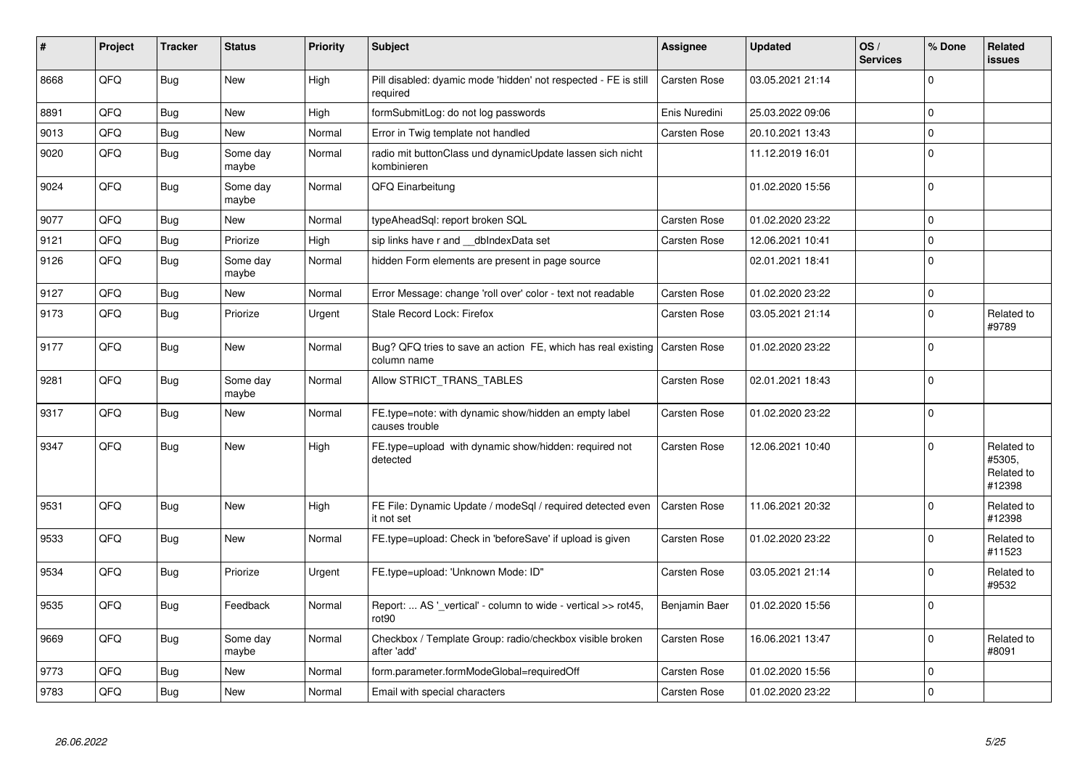| $\vert$ # | Project | <b>Tracker</b> | <b>Status</b>     | <b>Priority</b> | <b>Subject</b>                                                                           | Assignee            | <b>Updated</b>   | OS/<br><b>Services</b> | % Done         | Related<br>issues                            |
|-----------|---------|----------------|-------------------|-----------------|------------------------------------------------------------------------------------------|---------------------|------------------|------------------------|----------------|----------------------------------------------|
| 8668      | QFQ     | <b>Bug</b>     | <b>New</b>        | High            | Pill disabled: dyamic mode 'hidden' not respected - FE is still<br>required              | <b>Carsten Rose</b> | 03.05.2021 21:14 |                        | $\Omega$       |                                              |
| 8891      | QFQ     | <b>Bug</b>     | <b>New</b>        | High            | formSubmitLog: do not log passwords                                                      | Enis Nuredini       | 25.03.2022 09:06 |                        | $\Omega$       |                                              |
| 9013      | QFQ     | <b>Bug</b>     | <b>New</b>        | Normal          | Error in Twig template not handled                                                       | <b>Carsten Rose</b> | 20.10.2021 13:43 |                        | $\overline{0}$ |                                              |
| 9020      | QFQ     | <b>Bug</b>     | Some day<br>maybe | Normal          | radio mit buttonClass und dynamicUpdate lassen sich nicht<br>kombinieren                 |                     | 11.12.2019 16:01 |                        | $\Omega$       |                                              |
| 9024      | QFQ     | <b>Bug</b>     | Some day<br>maybe | Normal          | QFQ Einarbeitung                                                                         |                     | 01.02.2020 15:56 |                        | $\Omega$       |                                              |
| 9077      | QFQ     | <b>Bug</b>     | <b>New</b>        | Normal          | typeAheadSql: report broken SQL                                                          | Carsten Rose        | 01.02.2020 23:22 |                        | $\mathbf 0$    |                                              |
| 9121      | QFQ     | <b>Bug</b>     | Priorize          | High            | sip links have r and __dbIndexData set                                                   | <b>Carsten Rose</b> | 12.06.2021 10:41 |                        | $\Omega$       |                                              |
| 9126      | QFQ     | <b>Bug</b>     | Some day<br>maybe | Normal          | hidden Form elements are present in page source                                          |                     | 02.01.2021 18:41 |                        | $\overline{0}$ |                                              |
| 9127      | QFQ     | <b>Bug</b>     | New               | Normal          | Error Message: change 'roll over' color - text not readable                              | Carsten Rose        | 01.02.2020 23:22 |                        | $\mathbf{0}$   |                                              |
| 9173      | QFQ     | <b>Bug</b>     | Priorize          | Urgent          | Stale Record Lock: Firefox                                                               | Carsten Rose        | 03.05.2021 21:14 |                        | $\Omega$       | Related to<br>#9789                          |
| 9177      | QFQ     | <b>Bug</b>     | <b>New</b>        | Normal          | Bug? QFQ tries to save an action FE, which has real existing Carsten Rose<br>column name |                     | 01.02.2020 23:22 |                        | $\Omega$       |                                              |
| 9281      | QFQ     | <b>Bug</b>     | Some day<br>maybe | Normal          | Allow STRICT_TRANS_TABLES                                                                | Carsten Rose        | 02.01.2021 18:43 |                        | $\mathbf{0}$   |                                              |
| 9317      | QFO     | <b>Bug</b>     | <b>New</b>        | Normal          | FE.type=note: with dynamic show/hidden an empty label<br>causes trouble                  | Carsten Rose        | 01.02.2020 23:22 |                        | $\Omega$       |                                              |
| 9347      | QFQ     | <b>Bug</b>     | <b>New</b>        | High            | FE.type=upload with dynamic show/hidden: required not<br>detected                        | Carsten Rose        | 12.06.2021 10:40 |                        | $\Omega$       | Related to<br>#5305,<br>Related to<br>#12398 |
| 9531      | QFQ     | <b>Bug</b>     | <b>New</b>        | High            | FE File: Dynamic Update / modeSgl / required detected even<br>it not set                 | <b>Carsten Rose</b> | 11.06.2021 20:32 |                        | $\mathbf 0$    | Related to<br>#12398                         |
| 9533      | QFQ     | Bug            | <b>New</b>        | Normal          | FE.type=upload: Check in 'beforeSave' if upload is given                                 | Carsten Rose        | 01.02.2020 23:22 |                        | $\mathbf 0$    | Related to<br>#11523                         |
| 9534      | QFQ     | <b>Bug</b>     | Priorize          | Urgent          | FE.type=upload: 'Unknown Mode: ID"                                                       | Carsten Rose        | 03.05.2021 21:14 |                        | $\mathbf 0$    | Related to<br>#9532                          |
| 9535      | QFQ     | <b>Bug</b>     | Feedback          | Normal          | Report:  AS '_vertical' - column to wide - vertical >> rot45,<br>rot90                   | Benjamin Baer       | 01.02.2020 15:56 |                        | $\mathbf{0}$   |                                              |
| 9669      | QFQ     | <b>Bug</b>     | Some day<br>maybe | Normal          | Checkbox / Template Group: radio/checkbox visible broken<br>after 'add'                  | Carsten Rose        | 16.06.2021 13:47 |                        | $\Omega$       | Related to<br>#8091                          |
| 9773      | QFQ     | <b>Bug</b>     | <b>New</b>        | Normal          | form.parameter.formModeGlobal=requiredOff                                                | <b>Carsten Rose</b> | 01.02.2020 15:56 |                        | $\overline{0}$ |                                              |
| 9783      | QFQ     | Bug            | <b>New</b>        | Normal          | Email with special characters                                                            | <b>Carsten Rose</b> | 01.02.2020 23:22 |                        | $\mathbf 0$    |                                              |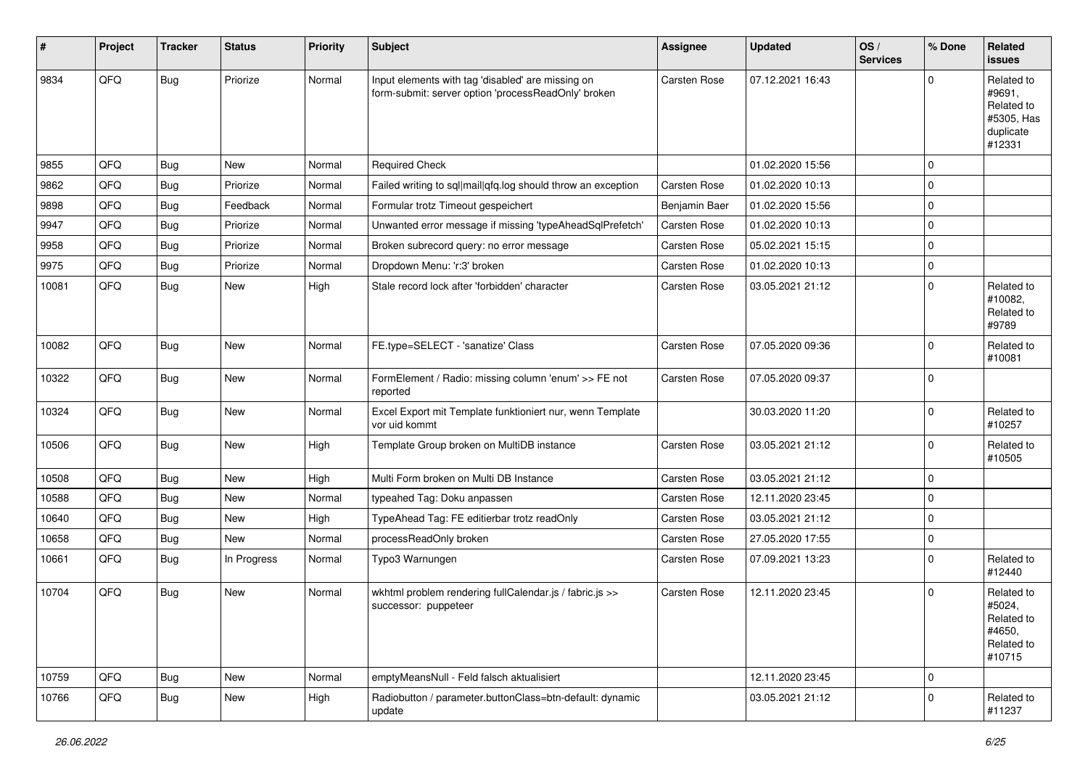| #     | Project | <b>Tracker</b> | <b>Status</b> | <b>Priority</b> | <b>Subject</b>                                                                                           | Assignee            | <b>Updated</b>   | OS/<br><b>Services</b> | % Done      | Related<br><b>issues</b>                                                |
|-------|---------|----------------|---------------|-----------------|----------------------------------------------------------------------------------------------------------|---------------------|------------------|------------------------|-------------|-------------------------------------------------------------------------|
| 9834  | QFQ     | <b>Bug</b>     | Priorize      | Normal          | Input elements with tag 'disabled' are missing on<br>form-submit: server option 'processReadOnly' broken | <b>Carsten Rose</b> | 07.12.2021 16:43 |                        | $\Omega$    | Related to<br>#9691.<br>Related to<br>#5305, Has<br>duplicate<br>#12331 |
| 9855  | QFQ     | Bug            | New           | Normal          | <b>Required Check</b>                                                                                    |                     | 01.02.2020 15:56 |                        | $\mathbf 0$ |                                                                         |
| 9862  | QFQ     | <b>Bug</b>     | Priorize      | Normal          | Failed writing to sql mail qfq.log should throw an exception                                             | <b>Carsten Rose</b> | 01.02.2020 10:13 |                        | $\Omega$    |                                                                         |
| 9898  | QFQ     | <b>Bug</b>     | Feedback      | Normal          | Formular trotz Timeout gespeichert                                                                       | Benjamin Baer       | 01.02.2020 15:56 |                        | $\Omega$    |                                                                         |
| 9947  | QFQ     | Bug            | Priorize      | Normal          | Unwanted error message if missing 'typeAheadSqlPrefetch'                                                 | <b>Carsten Rose</b> | 01.02.2020 10:13 |                        | $\mathbf 0$ |                                                                         |
| 9958  | QFQ     | <b>Bug</b>     | Priorize      | Normal          | Broken subrecord query: no error message                                                                 | Carsten Rose        | 05.02.2021 15:15 |                        | $\Omega$    |                                                                         |
| 9975  | QFQ     | <b>Bug</b>     | Priorize      | Normal          | Dropdown Menu: 'r:3' broken                                                                              | <b>Carsten Rose</b> | 01.02.2020 10:13 |                        | $\mathbf 0$ |                                                                         |
| 10081 | QFQ     | <b>Bug</b>     | New           | High            | Stale record lock after 'forbidden' character                                                            | Carsten Rose        | 03.05.2021 21:12 |                        | $\Omega$    | Related to<br>#10082,<br>Related to<br>#9789                            |
| 10082 | QFQ     | Bug            | New           | Normal          | FE.type=SELECT - 'sanatize' Class                                                                        | <b>Carsten Rose</b> | 07.05.2020 09:36 |                        | $\mathbf 0$ | Related to<br>#10081                                                    |
| 10322 | QFQ     | Bug            | New           | Normal          | FormElement / Radio: missing column 'enum' >> FE not<br>reported                                         | Carsten Rose        | 07.05.2020 09:37 |                        | $\Omega$    |                                                                         |
| 10324 | QFQ     | <b>Bug</b>     | New           | Normal          | Excel Export mit Template funktioniert nur, wenn Template<br>vor uid kommt                               |                     | 30.03.2020 11:20 |                        | $\Omega$    | Related to<br>#10257                                                    |
| 10506 | QFQ     | <b>Bug</b>     | <b>New</b>    | High            | Template Group broken on MultiDB instance                                                                | <b>Carsten Rose</b> | 03.05.2021 21:12 |                        | $\Omega$    | Related to<br>#10505                                                    |
| 10508 | QFQ     | Bug            | New           | High            | Multi Form broken on Multi DB Instance                                                                   | Carsten Rose        | 03.05.2021 21:12 |                        | $\Omega$    |                                                                         |
| 10588 | QFQ     | Bug            | <b>New</b>    | Normal          | typeahed Tag: Doku anpassen                                                                              | Carsten Rose        | 12.11.2020 23:45 |                        | $\mathbf 0$ |                                                                         |
| 10640 | QFQ     | Bug            | New           | High            | TypeAhead Tag: FE editierbar trotz readOnly                                                              | Carsten Rose        | 03.05.2021 21:12 |                        | $\mathbf 0$ |                                                                         |
| 10658 | QFQ     | <b>Bug</b>     | New           | Normal          | processReadOnly broken                                                                                   | Carsten Rose        | 27.05.2020 17:55 |                        | $\mathbf 0$ |                                                                         |
| 10661 | QFQ     | <b>Bug</b>     | In Progress   | Normal          | Typo3 Warnungen                                                                                          | Carsten Rose        | 07.09.2021 13:23 |                        | $\Omega$    | Related to<br>#12440                                                    |
| 10704 | QFQ     | <b>Bug</b>     | New           | Normal          | wkhtml problem rendering fullCalendar.js / fabric.js >><br>successor: puppeteer                          | Carsten Rose        | 12.11.2020 23:45 |                        | $\Omega$    | Related to<br>#5024,<br>Related to<br>#4650,<br>Related to<br>#10715    |
| 10759 | QFQ     | <b>Bug</b>     | New           | Normal          | emptyMeansNull - Feld falsch aktualisiert                                                                |                     | 12.11.2020 23:45 |                        | 0           |                                                                         |
| 10766 | QFQ     | <b>Bug</b>     | New           | High            | Radiobutton / parameter.buttonClass=btn-default: dynamic<br>update                                       |                     | 03.05.2021 21:12 |                        | $\mathbf 0$ | Related to<br>#11237                                                    |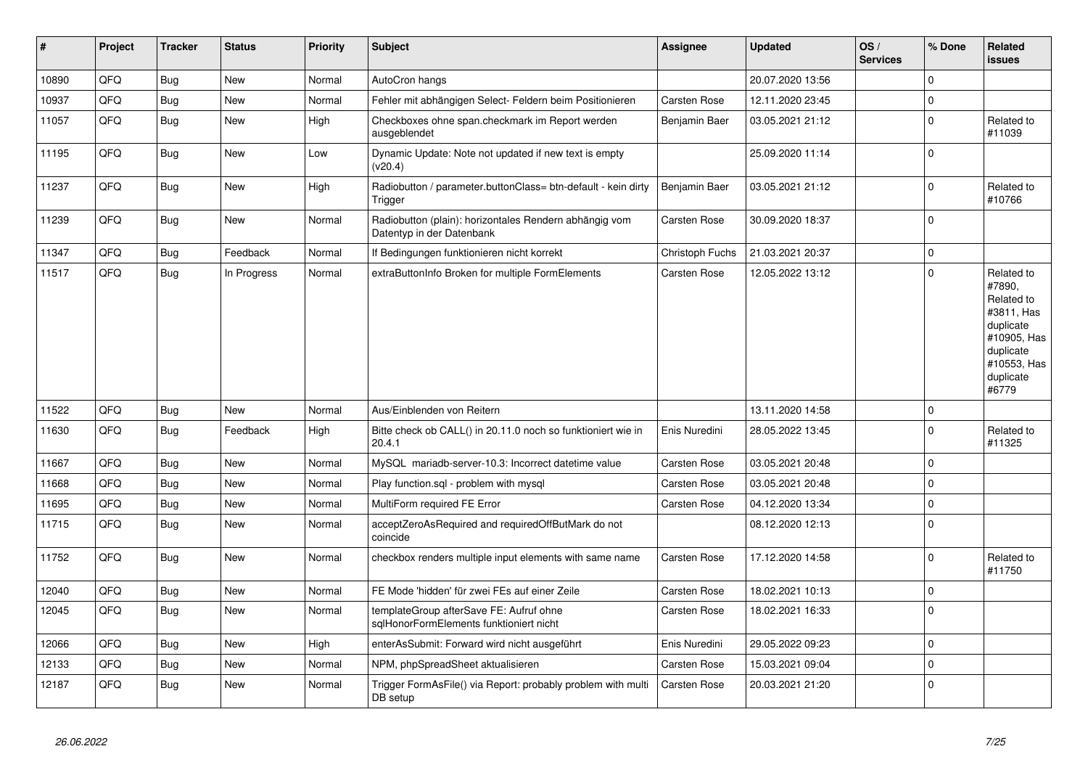| #     | Project | <b>Tracker</b> | <b>Status</b> | <b>Priority</b> | <b>Subject</b>                                                                      | Assignee            | <b>Updated</b>   | OS/<br><b>Services</b> | % Done      | Related<br>issues                                                                                                              |
|-------|---------|----------------|---------------|-----------------|-------------------------------------------------------------------------------------|---------------------|------------------|------------------------|-------------|--------------------------------------------------------------------------------------------------------------------------------|
| 10890 | QFQ     | <b>Bug</b>     | <b>New</b>    | Normal          | AutoCron hangs                                                                      |                     | 20.07.2020 13:56 |                        | $\Omega$    |                                                                                                                                |
| 10937 | QFQ     | <b>Bug</b>     | <b>New</b>    | Normal          | Fehler mit abhängigen Select- Feldern beim Positionieren                            | Carsten Rose        | 12.11.2020 23:45 |                        | $\Omega$    |                                                                                                                                |
| 11057 | QFQ     | <b>Bug</b>     | <b>New</b>    | High            | Checkboxes ohne span.checkmark im Report werden<br>ausgeblendet                     | Benjamin Baer       | 03.05.2021 21:12 |                        | $\Omega$    | Related to<br>#11039                                                                                                           |
| 11195 | QFQ     | Bug            | <b>New</b>    | Low             | Dynamic Update: Note not updated if new text is empty<br>(v20.4)                    |                     | 25.09.2020 11:14 |                        | $\Omega$    |                                                                                                                                |
| 11237 | QFQ     | <b>Bug</b>     | <b>New</b>    | High            | Radiobutton / parameter.buttonClass= btn-default - kein dirty<br>Trigger            | Benjamin Baer       | 03.05.2021 21:12 |                        | 0           | Related to<br>#10766                                                                                                           |
| 11239 | QFQ     | <b>Bug</b>     | New           | Normal          | Radiobutton (plain): horizontales Rendern abhängig vom<br>Datentyp in der Datenbank | Carsten Rose        | 30.09.2020 18:37 |                        | $\Omega$    |                                                                                                                                |
| 11347 | QFQ     | <b>Bug</b>     | Feedback      | Normal          | If Bedingungen funktionieren nicht korrekt                                          | Christoph Fuchs     | 21.03.2021 20:37 |                        | $\mathbf 0$ |                                                                                                                                |
| 11517 | QFQ     | <b>Bug</b>     | In Progress   | Normal          | extraButtonInfo Broken for multiple FormElements                                    | <b>Carsten Rose</b> | 12.05.2022 13:12 |                        | $\Omega$    | Related to<br>#7890,<br>Related to<br>#3811, Has<br>duplicate<br>#10905, Has<br>duplicate<br>#10553, Has<br>duplicate<br>#6779 |
| 11522 | QFQ     | <b>Bug</b>     | New           | Normal          | Aus/Einblenden von Reitern                                                          |                     | 13.11.2020 14:58 |                        | $\Omega$    |                                                                                                                                |
| 11630 | QFQ     | Bug            | Feedback      | High            | Bitte check ob CALL() in 20.11.0 noch so funktioniert wie in<br>20.4.1              | Enis Nuredini       | 28.05.2022 13:45 |                        | $\Omega$    | Related to<br>#11325                                                                                                           |
| 11667 | QFQ     | <b>Bug</b>     | New           | Normal          | MySQL mariadb-server-10.3: Incorrect datetime value                                 | <b>Carsten Rose</b> | 03.05.2021 20:48 |                        | $\mathbf 0$ |                                                                                                                                |
| 11668 | QFQ     | <b>Bug</b>     | <b>New</b>    | Normal          | Play function.sql - problem with mysql                                              | <b>Carsten Rose</b> | 03.05.2021 20:48 |                        | $\Omega$    |                                                                                                                                |
| 11695 | QFQ     | <b>Bug</b>     | <b>New</b>    | Normal          | MultiForm required FE Error                                                         | <b>Carsten Rose</b> | 04.12.2020 13:34 |                        | $\Omega$    |                                                                                                                                |
| 11715 | QFQ     | <b>Bug</b>     | New           | Normal          | acceptZeroAsRequired and requiredOffButMark do not<br>coincide                      |                     | 08.12.2020 12:13 |                        | $\mathbf 0$ |                                                                                                                                |
| 11752 | QFQ     | <b>Bug</b>     | <b>New</b>    | Normal          | checkbox renders multiple input elements with same name                             | <b>Carsten Rose</b> | 17.12.2020 14:58 |                        | $\Omega$    | Related to<br>#11750                                                                                                           |
| 12040 | QFQ     | <b>Bug</b>     | <b>New</b>    | Normal          | FE Mode 'hidden' für zwei FEs auf einer Zeile                                       | <b>Carsten Rose</b> | 18.02.2021 10:13 |                        | $\Omega$    |                                                                                                                                |
| 12045 | QFQ     | Bug            | New           | Normal          | templateGroup afterSave FE: Aufruf ohne<br>sglHonorFormElements funktioniert nicht  | <b>Carsten Rose</b> | 18.02.2021 16:33 |                        | $\Omega$    |                                                                                                                                |
| 12066 | QFQ     | Bug            | <b>New</b>    | High            | enterAsSubmit: Forward wird nicht ausgeführt                                        | Enis Nuredini       | 29.05.2022 09:23 |                        | $\Omega$    |                                                                                                                                |
| 12133 | QFQ     | <b>Bug</b>     | <b>New</b>    | Normal          | NPM, phpSpreadSheet aktualisieren                                                   | <b>Carsten Rose</b> | 15.03.2021 09:04 |                        | $\mathbf 0$ |                                                                                                                                |
| 12187 | QFQ     | <b>Bug</b>     | New           | Normal          | Trigger FormAsFile() via Report: probably problem with multi<br>DB setup            | Carsten Rose        | 20.03.2021 21:20 |                        | $\Omega$    |                                                                                                                                |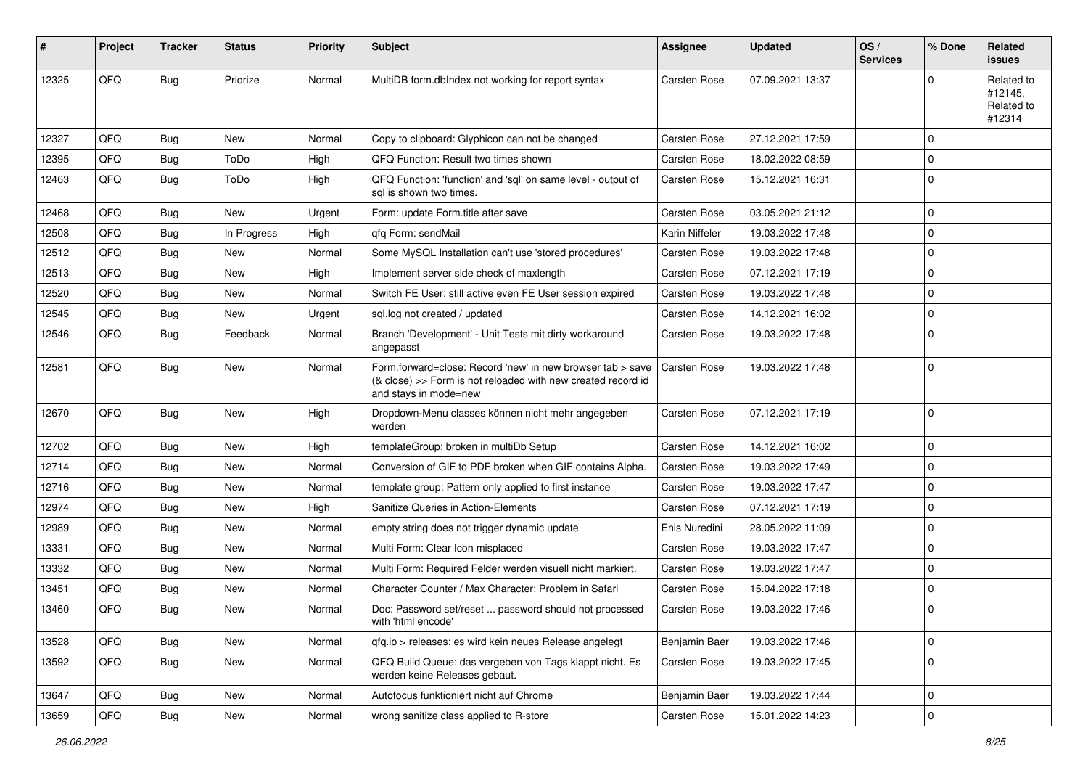| #     | Project | <b>Tracker</b> | <b>Status</b> | <b>Priority</b> | <b>Subject</b>                                                                                                                                      | <b>Assignee</b> | <b>Updated</b>   | OS/<br><b>Services</b> | % Done      | Related<br><b>issues</b>                      |
|-------|---------|----------------|---------------|-----------------|-----------------------------------------------------------------------------------------------------------------------------------------------------|-----------------|------------------|------------------------|-------------|-----------------------------------------------|
| 12325 | QFQ     | Bug            | Priorize      | Normal          | MultiDB form.dblndex not working for report syntax                                                                                                  | Carsten Rose    | 07.09.2021 13:37 |                        | $\Omega$    | Related to<br>#12145,<br>Related to<br>#12314 |
| 12327 | QFQ     | <b>Bug</b>     | <b>New</b>    | Normal          | Copy to clipboard: Glyphicon can not be changed                                                                                                     | Carsten Rose    | 27.12.2021 17:59 |                        | $\mathbf 0$ |                                               |
| 12395 | QFQ     | <b>Bug</b>     | ToDo          | High            | QFQ Function: Result two times shown                                                                                                                | Carsten Rose    | 18.02.2022 08:59 |                        | $\mathbf 0$ |                                               |
| 12463 | QFQ     | Bug            | ToDo          | High            | QFQ Function: 'function' and 'sql' on same level - output of<br>sal is shown two times.                                                             | Carsten Rose    | 15.12.2021 16:31 |                        | $\mathbf 0$ |                                               |
| 12468 | QFQ     | <b>Bug</b>     | <b>New</b>    | Urgent          | Form: update Form.title after save                                                                                                                  | Carsten Rose    | 03.05.2021 21:12 |                        | $\mathbf 0$ |                                               |
| 12508 | QFQ     | <b>Bug</b>     | In Progress   | High            | qfq Form: sendMail                                                                                                                                  | Karin Niffeler  | 19.03.2022 17:48 |                        | $\mathbf 0$ |                                               |
| 12512 | QFQ     | <b>Bug</b>     | <b>New</b>    | Normal          | Some MySQL Installation can't use 'stored procedures'                                                                                               | Carsten Rose    | 19.03.2022 17:48 |                        | $\mathbf 0$ |                                               |
| 12513 | QFQ     | <b>Bug</b>     | New           | High            | Implement server side check of maxlength                                                                                                            | Carsten Rose    | 07.12.2021 17:19 |                        | $\mathbf 0$ |                                               |
| 12520 | QFQ     | <b>Bug</b>     | New           | Normal          | Switch FE User: still active even FE User session expired                                                                                           | Carsten Rose    | 19.03.2022 17:48 |                        | $\mathbf 0$ |                                               |
| 12545 | QFQ     | <b>Bug</b>     | New           | Urgent          | sql.log not created / updated                                                                                                                       | Carsten Rose    | 14.12.2021 16:02 |                        | $\mathbf 0$ |                                               |
| 12546 | QFQ     | Bug            | Feedback      | Normal          | Branch 'Development' - Unit Tests mit dirty workaround<br>angepasst                                                                                 | Carsten Rose    | 19.03.2022 17:48 |                        | $\mathbf 0$ |                                               |
| 12581 | QFQ     | Bug            | New           | Normal          | Form.forward=close: Record 'new' in new browser tab > save<br>(& close) >> Form is not reloaded with new created record id<br>and stays in mode=new | Carsten Rose    | 19.03.2022 17:48 |                        | $\mathbf 0$ |                                               |
| 12670 | QFQ     | <b>Bug</b>     | New           | High            | Dropdown-Menu classes können nicht mehr angegeben<br>werden                                                                                         | Carsten Rose    | 07.12.2021 17:19 |                        | $\mathbf 0$ |                                               |
| 12702 | QFQ     | Bug            | New           | High            | templateGroup: broken in multiDb Setup                                                                                                              | Carsten Rose    | 14.12.2021 16:02 |                        | $\mathbf 0$ |                                               |
| 12714 | QFQ     | Bug            | New           | Normal          | Conversion of GIF to PDF broken when GIF contains Alpha.                                                                                            | Carsten Rose    | 19.03.2022 17:49 |                        | $\mathbf 0$ |                                               |
| 12716 | QFQ     | <b>Bug</b>     | New           | Normal          | template group: Pattern only applied to first instance                                                                                              | Carsten Rose    | 19.03.2022 17:47 |                        | $\mathbf 0$ |                                               |
| 12974 | QFQ     | <b>Bug</b>     | New           | High            | Sanitize Queries in Action-Elements                                                                                                                 | Carsten Rose    | 07.12.2021 17:19 |                        | $\mathbf 0$ |                                               |
| 12989 | QFQ     | <b>Bug</b>     | New           | Normal          | empty string does not trigger dynamic update                                                                                                        | Enis Nuredini   | 28.05.2022 11:09 |                        | 0           |                                               |
| 13331 | QFQ     | <b>Bug</b>     | New           | Normal          | Multi Form: Clear Icon misplaced                                                                                                                    | Carsten Rose    | 19.03.2022 17:47 |                        | $\mathbf 0$ |                                               |
| 13332 | QFQ     | <b>Bug</b>     | New           | Normal          | Multi Form: Required Felder werden visuell nicht markiert.                                                                                          | Carsten Rose    | 19.03.2022 17:47 |                        | $\mathbf 0$ |                                               |
| 13451 | QFQ     | <b>Bug</b>     | New           | Normal          | Character Counter / Max Character: Problem in Safari                                                                                                | Carsten Rose    | 15.04.2022 17:18 |                        | $\mathbf 0$ |                                               |
| 13460 | QFQ     | <b>Bug</b>     | New           | Normal          | Doc: Password set/reset  password should not processed<br>with 'html encode'                                                                        | Carsten Rose    | 19.03.2022 17:46 |                        | $\mathbf 0$ |                                               |
| 13528 | QFQ     | <b>Bug</b>     | New           | Normal          | qfq.io > releases: es wird kein neues Release angelegt                                                                                              | Benjamin Baer   | 19.03.2022 17:46 |                        | $\mathbf 0$ |                                               |
| 13592 | QFQ     | Bug            | New           | Normal          | QFQ Build Queue: das vergeben von Tags klappt nicht. Es<br>werden keine Releases gebaut.                                                            | Carsten Rose    | 19.03.2022 17:45 |                        | $\mathbf 0$ |                                               |
| 13647 | QFQ     | Bug            | New           | Normal          | Autofocus funktioniert nicht auf Chrome                                                                                                             | Benjamin Baer   | 19.03.2022 17:44 |                        | $\mathbf 0$ |                                               |
| 13659 | QFQ     | Bug            | New           | Normal          | wrong sanitize class applied to R-store                                                                                                             | Carsten Rose    | 15.01.2022 14:23 |                        | $\mathbf 0$ |                                               |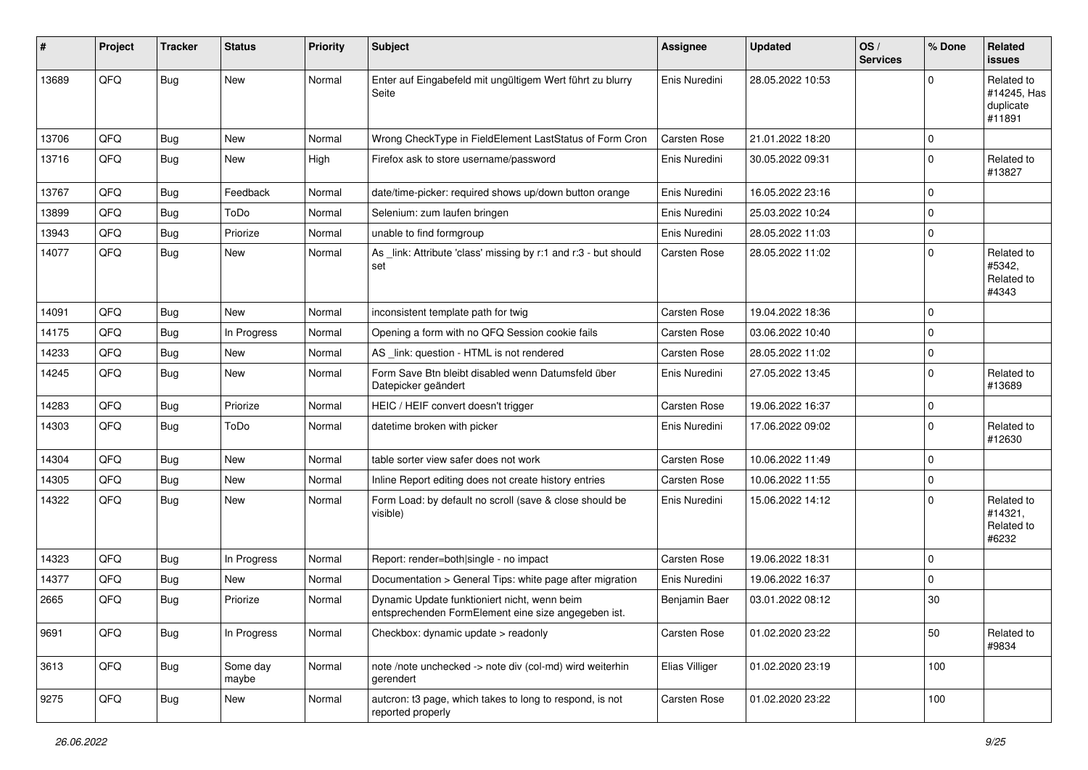| #     | Project | <b>Tracker</b> | <b>Status</b>     | <b>Priority</b> | Subject                                                                                             | <b>Assignee</b>     | <b>Updated</b>   | OS/<br><b>Services</b> | % Done       | Related<br>issues                                |
|-------|---------|----------------|-------------------|-----------------|-----------------------------------------------------------------------------------------------------|---------------------|------------------|------------------------|--------------|--------------------------------------------------|
| 13689 | QFQ     | Bug            | <b>New</b>        | Normal          | Enter auf Eingabefeld mit ungültigem Wert führt zu blurry<br>Seite                                  | Enis Nuredini       | 28.05.2022 10:53 |                        | <sup>0</sup> | Related to<br>#14245, Has<br>duplicate<br>#11891 |
| 13706 | QFQ     | Bug            | <b>New</b>        | Normal          | Wrong CheckType in FieldElement LastStatus of Form Cron                                             | <b>Carsten Rose</b> | 21.01.2022 18:20 |                        | $\Omega$     |                                                  |
| 13716 | QFQ     | <b>Bug</b>     | New               | High            | Firefox ask to store username/password                                                              | Enis Nuredini       | 30.05.2022 09:31 |                        | $\Omega$     | Related to<br>#13827                             |
| 13767 | QFQ     | <b>Bug</b>     | Feedback          | Normal          | date/time-picker: required shows up/down button orange                                              | Enis Nuredini       | 16.05.2022 23:16 |                        | 0            |                                                  |
| 13899 | QFQ     | <b>Bug</b>     | ToDo              | Normal          | Selenium: zum laufen bringen                                                                        | Enis Nuredini       | 25.03.2022 10:24 |                        | $\Omega$     |                                                  |
| 13943 | QFQ     | <b>Bug</b>     | Priorize          | Normal          | unable to find formgroup                                                                            | Enis Nuredini       | 28.05.2022 11:03 |                        | $\mathbf 0$  |                                                  |
| 14077 | QFQ     | <b>Bug</b>     | New               | Normal          | As _link: Attribute 'class' missing by r:1 and r:3 - but should<br>set                              | Carsten Rose        | 28.05.2022 11:02 |                        | $\Omega$     | Related to<br>#5342,<br>Related to<br>#4343      |
| 14091 | QFQ     | <b>Bug</b>     | New               | Normal          | inconsistent template path for twig                                                                 | <b>Carsten Rose</b> | 19.04.2022 18:36 |                        | $\Omega$     |                                                  |
| 14175 | QFQ     | <b>Bug</b>     | In Progress       | Normal          | Opening a form with no QFQ Session cookie fails                                                     | Carsten Rose        | 03.06.2022 10:40 |                        | $\Omega$     |                                                  |
| 14233 | QFQ     | <b>Bug</b>     | New               | Normal          | AS link: question - HTML is not rendered                                                            | <b>Carsten Rose</b> | 28.05.2022 11:02 |                        | 0            |                                                  |
| 14245 | QFQ     | <b>Bug</b>     | New               | Normal          | Form Save Btn bleibt disabled wenn Datumsfeld über<br>Datepicker geändert                           | Enis Nuredini       | 27.05.2022 13:45 |                        | $\Omega$     | Related to<br>#13689                             |
| 14283 | QFQ     | Bug            | Priorize          | Normal          | HEIC / HEIF convert doesn't trigger                                                                 | <b>Carsten Rose</b> | 19.06.2022 16:37 |                        | 0            |                                                  |
| 14303 | QFQ     | <b>Bug</b>     | ToDo              | Normal          | datetime broken with picker                                                                         | Enis Nuredini       | 17.06.2022 09:02 |                        | $\Omega$     | Related to<br>#12630                             |
| 14304 | QFQ     | <b>Bug</b>     | New               | Normal          | table sorter view safer does not work                                                               | <b>Carsten Rose</b> | 10.06.2022 11:49 |                        | $\mathbf 0$  |                                                  |
| 14305 | QFQ     | <b>Bug</b>     | New               | Normal          | Inline Report editing does not create history entries                                               | Carsten Rose        | 10.06.2022 11:55 |                        | 0            |                                                  |
| 14322 | QFQ     | <b>Bug</b>     | New               | Normal          | Form Load: by default no scroll (save & close should be<br>visible)                                 | Enis Nuredini       | 15.06.2022 14:12 |                        | $\Omega$     | Related to<br>#14321,<br>Related to<br>#6232     |
| 14323 | QFQ     | <b>Bug</b>     | In Progress       | Normal          | Report: render=both single - no impact                                                              | <b>Carsten Rose</b> | 19.06.2022 18:31 |                        | 0            |                                                  |
| 14377 | QFQ     | Bug            | New               | Normal          | Documentation > General Tips: white page after migration                                            | Enis Nuredini       | 19.06.2022 16:37 |                        | $\Omega$     |                                                  |
| 2665  | QFQ     | <b>Bug</b>     | Priorize          | Normal          | Dynamic Update funktioniert nicht, wenn beim<br>entsprechenden FormElement eine size angegeben ist. | Benjamin Baer       | 03.01.2022 08:12 |                        | 30           |                                                  |
| 9691  | QFQ     | Bug            | In Progress       | Normal          | Checkbox: dynamic update > readonly                                                                 | Carsten Rose        | 01.02.2020 23:22 |                        | 50           | Related to<br>#9834                              |
| 3613  | QFQ     | <b>Bug</b>     | Some day<br>maybe | Normal          | note /note unchecked -> note div (col-md) wird weiterhin<br>gerendert                               | Elias Villiger      | 01.02.2020 23:19 |                        | 100          |                                                  |
| 9275  | QFQ     | <b>Bug</b>     | New               | Normal          | autcron: t3 page, which takes to long to respond, is not<br>reported properly                       | Carsten Rose        | 01.02.2020 23:22 |                        | 100          |                                                  |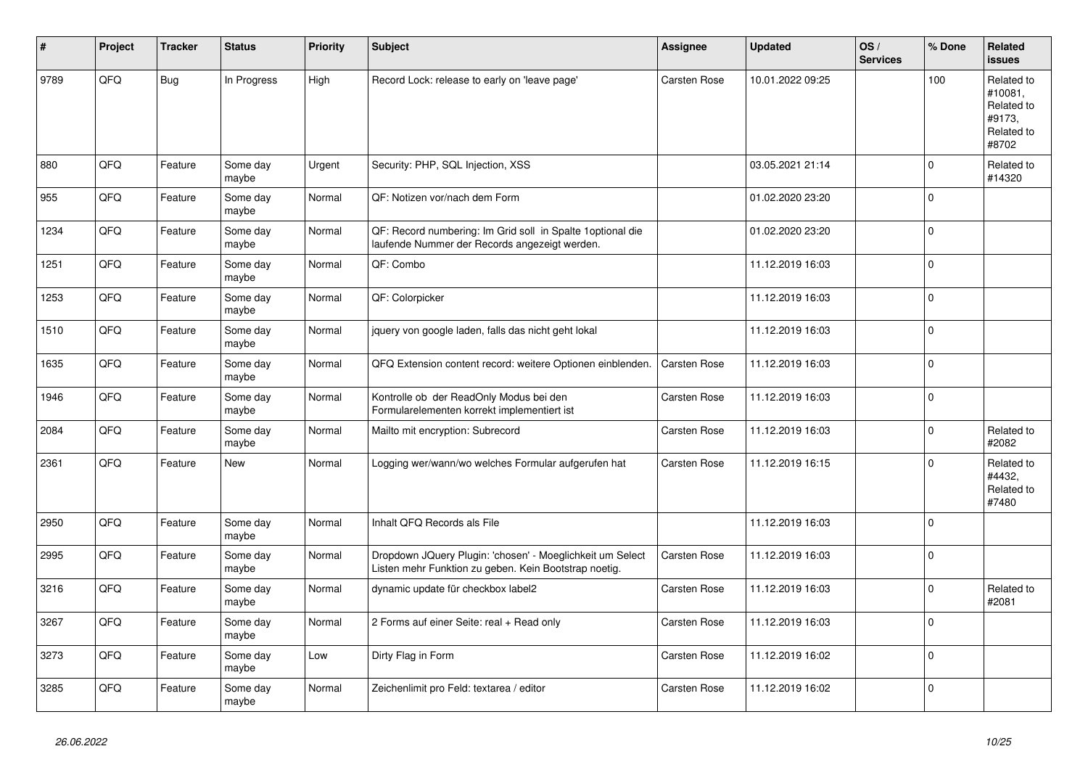| #    | Project | <b>Tracker</b> | <b>Status</b>     | <b>Priority</b> | <b>Subject</b>                                                                                                     | Assignee     | <b>Updated</b>   | OS/<br><b>Services</b> | % Done      | Related<br><b>issues</b>                                             |
|------|---------|----------------|-------------------|-----------------|--------------------------------------------------------------------------------------------------------------------|--------------|------------------|------------------------|-------------|----------------------------------------------------------------------|
| 9789 | QFQ     | <b>Bug</b>     | In Progress       | High            | Record Lock: release to early on 'leave page'                                                                      | Carsten Rose | 10.01.2022 09:25 |                        | 100         | Related to<br>#10081,<br>Related to<br>#9173,<br>Related to<br>#8702 |
| 880  | QFQ     | Feature        | Some day<br>maybe | Urgent          | Security: PHP, SQL Injection, XSS                                                                                  |              | 03.05.2021 21:14 |                        | $\mathbf 0$ | Related to<br>#14320                                                 |
| 955  | QFQ     | Feature        | Some day<br>maybe | Normal          | QF: Notizen vor/nach dem Form                                                                                      |              | 01.02.2020 23:20 |                        | $\Omega$    |                                                                      |
| 1234 | QFQ     | Feature        | Some day<br>maybe | Normal          | QF: Record numbering: Im Grid soll in Spalte 1 optional die<br>laufende Nummer der Records angezeigt werden.       |              | 01.02.2020 23:20 |                        | $\mathbf 0$ |                                                                      |
| 1251 | QFQ     | Feature        | Some day<br>maybe | Normal          | QF: Combo                                                                                                          |              | 11.12.2019 16:03 |                        | $\Omega$    |                                                                      |
| 1253 | QFQ     | Feature        | Some day<br>maybe | Normal          | QF: Colorpicker                                                                                                    |              | 11.12.2019 16:03 |                        | $\Omega$    |                                                                      |
| 1510 | QFQ     | Feature        | Some day<br>maybe | Normal          | jquery von google laden, falls das nicht geht lokal                                                                |              | 11.12.2019 16:03 |                        | $\Omega$    |                                                                      |
| 1635 | QFO     | Feature        | Some day<br>maybe | Normal          | QFQ Extension content record: weitere Optionen einblenden.                                                         | Carsten Rose | 11.12.2019 16:03 |                        | $\mathbf 0$ |                                                                      |
| 1946 | QFQ     | Feature        | Some day<br>maybe | Normal          | Kontrolle ob der ReadOnly Modus bei den<br>Formularelementen korrekt implementiert ist                             | Carsten Rose | 11.12.2019 16:03 |                        | $\Omega$    |                                                                      |
| 2084 | QFQ     | Feature        | Some day<br>maybe | Normal          | Mailto mit encryption: Subrecord                                                                                   | Carsten Rose | 11.12.2019 16:03 |                        | $\Omega$    | Related to<br>#2082                                                  |
| 2361 | QFQ     | Feature        | New               | Normal          | Logging wer/wann/wo welches Formular aufgerufen hat                                                                | Carsten Rose | 11.12.2019 16:15 |                        | $\Omega$    | Related to<br>#4432,<br>Related to<br>#7480                          |
| 2950 | QFQ     | Feature        | Some day<br>maybe | Normal          | Inhalt QFQ Records als File                                                                                        |              | 11.12.2019 16:03 |                        | $\Omega$    |                                                                      |
| 2995 | QFQ     | Feature        | Some day<br>maybe | Normal          | Dropdown JQuery Plugin: 'chosen' - Moeglichkeit um Select<br>Listen mehr Funktion zu geben. Kein Bootstrap noetig. | Carsten Rose | 11.12.2019 16:03 |                        | $\Omega$    |                                                                      |
| 3216 | QFQ     | Feature        | Some day<br>maybe | Normal          | dynamic update für checkbox label2                                                                                 | Carsten Rose | 11.12.2019 16:03 |                        | $\Omega$    | Related to<br>#2081                                                  |
| 3267 | QFQ     | Feature        | Some day<br>maybe | Normal          | 2 Forms auf einer Seite: real + Read only                                                                          | Carsten Rose | 11.12.2019 16:03 |                        | $\Omega$    |                                                                      |
| 3273 | QFQ     | Feature        | Some day<br>maybe | Low             | Dirty Flag in Form                                                                                                 | Carsten Rose | 11.12.2019 16:02 |                        | $\mathbf 0$ |                                                                      |
| 3285 | QFQ     | Feature        | Some day<br>maybe | Normal          | Zeichenlimit pro Feld: textarea / editor                                                                           | Carsten Rose | 11.12.2019 16:02 |                        | $\Omega$    |                                                                      |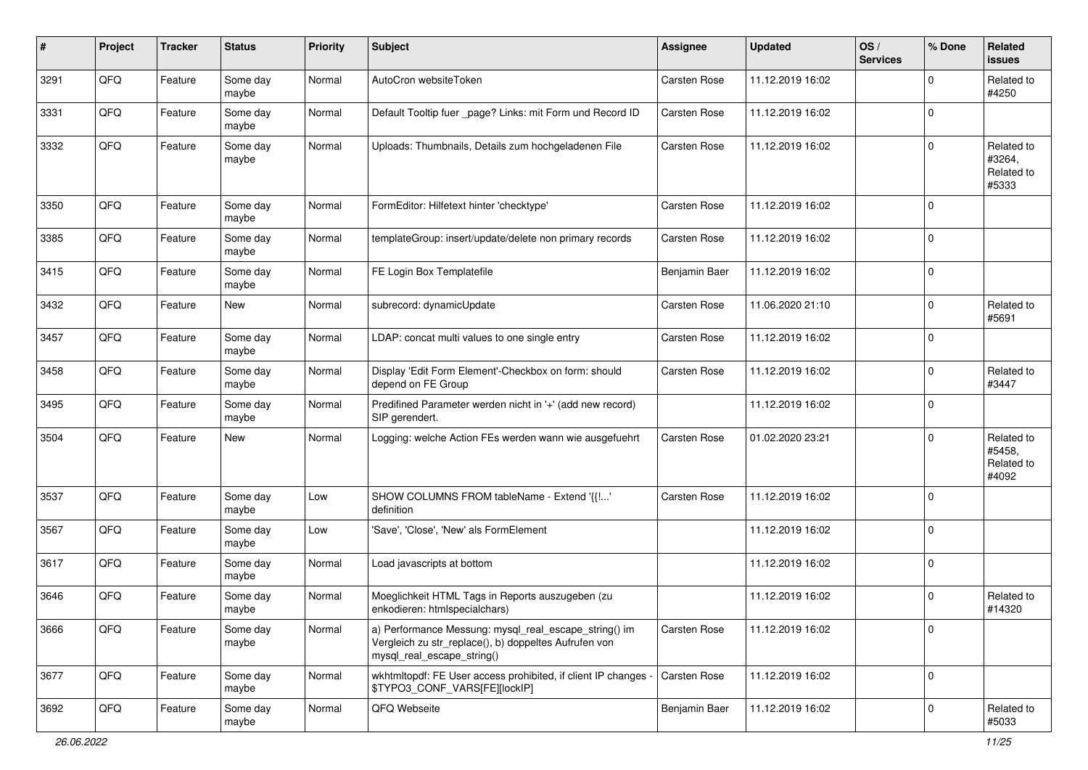| #    | Project | <b>Tracker</b> | <b>Status</b>     | <b>Priority</b> | Subject                                                                                                                                      | <b>Assignee</b>     | <b>Updated</b>   | OS/<br><b>Services</b> | % Done         | Related<br>issues                           |
|------|---------|----------------|-------------------|-----------------|----------------------------------------------------------------------------------------------------------------------------------------------|---------------------|------------------|------------------------|----------------|---------------------------------------------|
| 3291 | QFQ     | Feature        | Some day<br>maybe | Normal          | AutoCron websiteToken                                                                                                                        | Carsten Rose        | 11.12.2019 16:02 |                        | $\Omega$       | Related to<br>#4250                         |
| 3331 | QFQ     | Feature        | Some day<br>maybe | Normal          | Default Tooltip fuer _page? Links: mit Form und Record ID                                                                                    | <b>Carsten Rose</b> | 11.12.2019 16:02 |                        | $\overline{0}$ |                                             |
| 3332 | QFQ     | Feature        | Some day<br>maybe | Normal          | Uploads: Thumbnails, Details zum hochgeladenen File                                                                                          | <b>Carsten Rose</b> | 11.12.2019 16:02 |                        | $\Omega$       | Related to<br>#3264,<br>Related to<br>#5333 |
| 3350 | QFQ     | Feature        | Some day<br>maybe | Normal          | FormEditor: Hilfetext hinter 'checktype'                                                                                                     | <b>Carsten Rose</b> | 11.12.2019 16:02 |                        | 0              |                                             |
| 3385 | QFQ     | Feature        | Some day<br>maybe | Normal          | templateGroup: insert/update/delete non primary records                                                                                      | Carsten Rose        | 11.12.2019 16:02 |                        | $\Omega$       |                                             |
| 3415 | QFQ     | Feature        | Some day<br>maybe | Normal          | FE Login Box Templatefile                                                                                                                    | Benjamin Baer       | 11.12.2019 16:02 |                        | 0              |                                             |
| 3432 | QFQ     | Feature        | <b>New</b>        | Normal          | subrecord: dynamicUpdate                                                                                                                     | <b>Carsten Rose</b> | 11.06.2020 21:10 |                        | $\overline{0}$ | Related to<br>#5691                         |
| 3457 | QFQ     | Feature        | Some day<br>maybe | Normal          | LDAP: concat multi values to one single entry                                                                                                | <b>Carsten Rose</b> | 11.12.2019 16:02 |                        | $\Omega$       |                                             |
| 3458 | QFQ     | Feature        | Some day<br>maybe | Normal          | Display 'Edit Form Element'-Checkbox on form: should<br>depend on FE Group                                                                   | <b>Carsten Rose</b> | 11.12.2019 16:02 |                        | $\overline{0}$ | Related to<br>#3447                         |
| 3495 | QFQ     | Feature        | Some day<br>maybe | Normal          | Predifined Parameter werden nicht in '+' (add new record)<br>SIP gerendert.                                                                  |                     | 11.12.2019 16:02 |                        | $\overline{0}$ |                                             |
| 3504 | QFQ     | Feature        | New               | Normal          | Logging: welche Action FEs werden wann wie ausgefuehrt                                                                                       | <b>Carsten Rose</b> | 01.02.2020 23:21 |                        | $\overline{0}$ | Related to<br>#5458.<br>Related to<br>#4092 |
| 3537 | QFQ     | Feature        | Some day<br>maybe | Low             | SHOW COLUMNS FROM tableName - Extend '{{!'<br>definition                                                                                     | <b>Carsten Rose</b> | 11.12.2019 16:02 |                        | 0              |                                             |
| 3567 | QFQ     | Feature        | Some day<br>maybe | Low             | 'Save', 'Close', 'New' als FormElement                                                                                                       |                     | 11.12.2019 16:02 |                        | 0              |                                             |
| 3617 | QFQ     | Feature        | Some day<br>maybe | Normal          | Load javascripts at bottom                                                                                                                   |                     | 11.12.2019 16:02 |                        | 0              |                                             |
| 3646 | QFQ     | Feature        | Some day<br>maybe | Normal          | Moeglichkeit HTML Tags in Reports auszugeben (zu<br>enkodieren: htmlspecialchars)                                                            |                     | 11.12.2019 16:02 |                        | $\Omega$       | Related to<br>#14320                        |
| 3666 | QFO     | Feature        | Some day<br>maybe | Normal          | a) Performance Messung: mysql_real_escape_string() im<br>Vergleich zu str_replace(), b) doppeltes Aufrufen von<br>mysql_real_escape_string() | Carsten Rose        | 11.12.2019 16:02 |                        | 0              |                                             |
| 3677 | QFQ     | Feature        | Some day<br>maybe | Normal          | wkhtmltopdf: FE User access prohibited, if client IP changes -<br>\$TYPO3_CONF_VARS[FE][lockIP]                                              | <b>Carsten Rose</b> | 11.12.2019 16:02 |                        | $\overline{0}$ |                                             |
| 3692 | QFO     | Feature        | Some day<br>maybe | Normal          | QFQ Webseite                                                                                                                                 | Benjamin Baer       | 11.12.2019 16:02 |                        | $\overline{0}$ | Related to<br>#5033                         |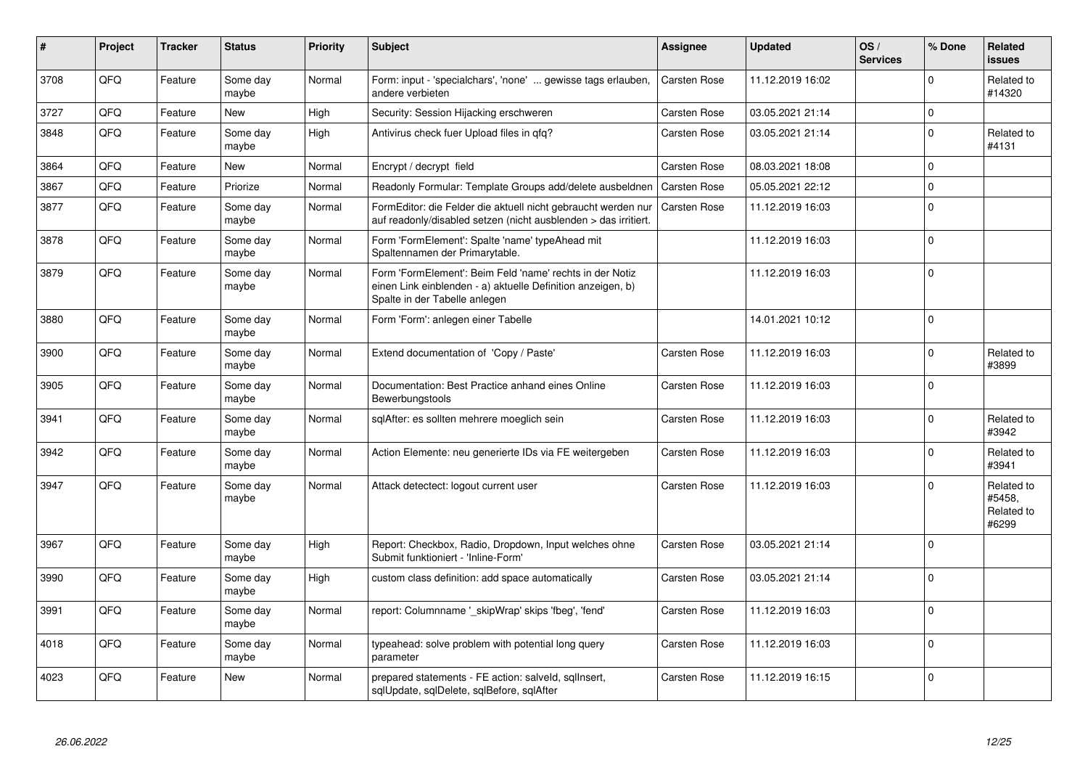| $\vert$ # | Project | <b>Tracker</b> | <b>Status</b>     | <b>Priority</b> | <b>Subject</b>                                                                                                                                           | Assignee            | <b>Updated</b>   | OS/<br><b>Services</b> | % Done      | Related<br>issues                           |
|-----------|---------|----------------|-------------------|-----------------|----------------------------------------------------------------------------------------------------------------------------------------------------------|---------------------|------------------|------------------------|-------------|---------------------------------------------|
| 3708      | QFQ     | Feature        | Some day<br>maybe | Normal          | Form: input - 'specialchars', 'none'  gewisse tags erlauben,<br>andere verbieten                                                                         | <b>Carsten Rose</b> | 11.12.2019 16:02 |                        | $\Omega$    | Related to<br>#14320                        |
| 3727      | QFQ     | Feature        | <b>New</b>        | High            | Security: Session Hijacking erschweren                                                                                                                   | Carsten Rose        | 03.05.2021 21:14 |                        | $\mathbf 0$ |                                             |
| 3848      | QFQ     | Feature        | Some day<br>maybe | High            | Antivirus check fuer Upload files in qfq?                                                                                                                | Carsten Rose        | 03.05.2021 21:14 |                        | $\Omega$    | Related to<br>#4131                         |
| 3864      | QFQ     | Feature        | <b>New</b>        | Normal          | Encrypt / decrypt field                                                                                                                                  | Carsten Rose        | 08.03.2021 18:08 |                        | $\Omega$    |                                             |
| 3867      | QFQ     | Feature        | Priorize          | Normal          | Readonly Formular: Template Groups add/delete ausbeldnen                                                                                                 | Carsten Rose        | 05.05.2021 22:12 |                        | $\Omega$    |                                             |
| 3877      | QFQ     | Feature        | Some day<br>maybe | Normal          | FormEditor: die Felder die aktuell nicht gebraucht werden nur<br>auf readonly/disabled setzen (nicht ausblenden > das irritiert.                         | <b>Carsten Rose</b> | 11.12.2019 16:03 |                        | $\mathbf 0$ |                                             |
| 3878      | QFQ     | Feature        | Some day<br>maybe | Normal          | Form 'FormElement': Spalte 'name' typeAhead mit<br>Spaltennamen der Primarytable.                                                                        |                     | 11.12.2019 16:03 |                        | $\Omega$    |                                             |
| 3879      | QFQ     | Feature        | Some day<br>maybe | Normal          | Form 'FormElement': Beim Feld 'name' rechts in der Notiz<br>einen Link einblenden - a) aktuelle Definition anzeigen, b)<br>Spalte in der Tabelle anlegen |                     | 11.12.2019 16:03 |                        | $\Omega$    |                                             |
| 3880      | QFQ     | Feature        | Some day<br>maybe | Normal          | Form 'Form': anlegen einer Tabelle                                                                                                                       |                     | 14.01.2021 10:12 |                        | $\Omega$    |                                             |
| 3900      | QFQ     | Feature        | Some day<br>maybe | Normal          | Extend documentation of 'Copy / Paste'                                                                                                                   | Carsten Rose        | 11.12.2019 16:03 |                        | 0           | Related to<br>#3899                         |
| 3905      | QFQ     | Feature        | Some day<br>maybe | Normal          | Documentation: Best Practice anhand eines Online<br>Bewerbungstools                                                                                      | Carsten Rose        | 11.12.2019 16:03 |                        | $\Omega$    |                                             |
| 3941      | QFQ     | Feature        | Some day<br>maybe | Normal          | sqlAfter: es sollten mehrere moeglich sein                                                                                                               | Carsten Rose        | 11.12.2019 16:03 |                        | $\Omega$    | Related to<br>#3942                         |
| 3942      | QFQ     | Feature        | Some day<br>maybe | Normal          | Action Elemente: neu generierte IDs via FE weitergeben                                                                                                   | Carsten Rose        | 11.12.2019 16:03 |                        | $\Omega$    | Related to<br>#3941                         |
| 3947      | QFQ     | Feature        | Some day<br>maybe | Normal          | Attack detectect: logout current user                                                                                                                    | Carsten Rose        | 11.12.2019 16:03 |                        | $\Omega$    | Related to<br>#5458,<br>Related to<br>#6299 |
| 3967      | QFQ     | Feature        | Some day<br>maybe | High            | Report: Checkbox, Radio, Dropdown, Input welches ohne<br>Submit funktioniert - 'Inline-Form'                                                             | Carsten Rose        | 03.05.2021 21:14 |                        | $\Omega$    |                                             |
| 3990      | QFQ     | Feature        | Some day<br>maybe | High            | custom class definition: add space automatically                                                                                                         | Carsten Rose        | 03.05.2021 21:14 |                        | $\Omega$    |                                             |
| 3991      | QFQ     | Feature        | Some day<br>maybe | Normal          | report: Columnname ' skipWrap' skips 'fbeg', 'fend'                                                                                                      | Carsten Rose        | 11.12.2019 16:03 |                        | $\Omega$    |                                             |
| 4018      | QFQ     | Feature        | Some day<br>maybe | Normal          | typeahead: solve problem with potential long query<br>parameter                                                                                          | Carsten Rose        | 11.12.2019 16:03 |                        | $\Omega$    |                                             |
| 4023      | QFQ     | Feature        | <b>New</b>        | Normal          | prepared statements - FE action: salveld, sqllnsert,<br>sqlUpdate, sqlDelete, sqlBefore, sqlAfter                                                        | Carsten Rose        | 11.12.2019 16:15 |                        | $\Omega$    |                                             |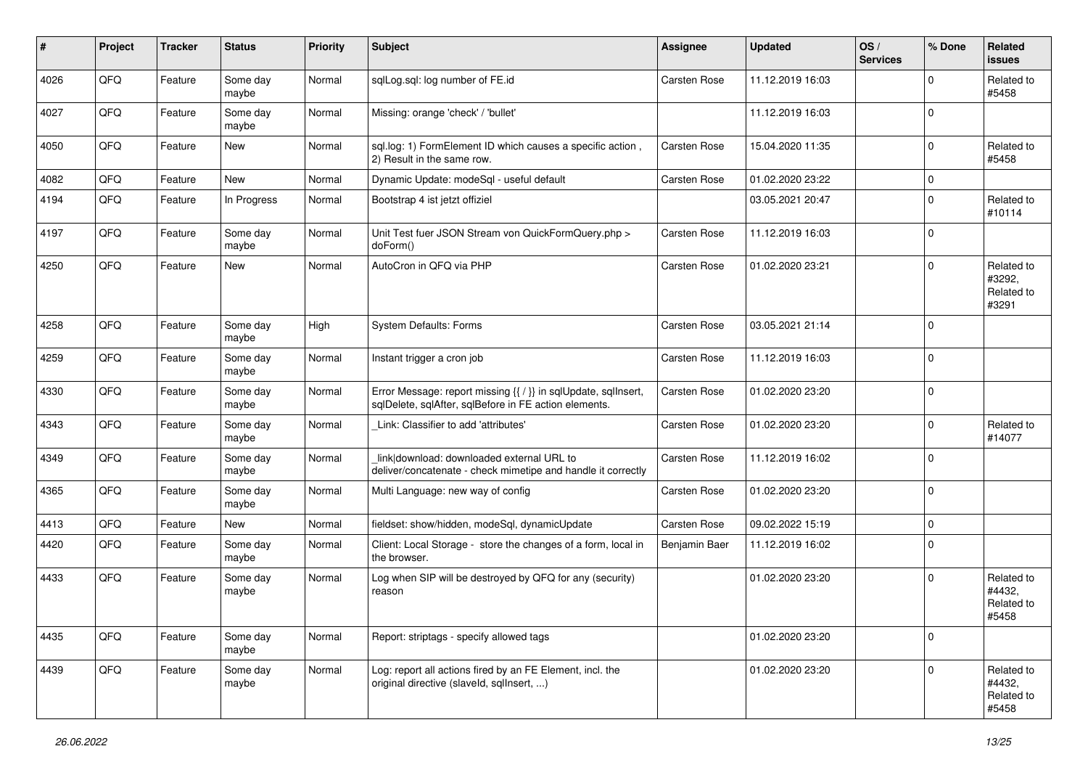| ∦    | Project | <b>Tracker</b> | <b>Status</b>     | <b>Priority</b> | Subject                                                                                                                 | Assignee            | <b>Updated</b>   | OS/<br><b>Services</b> | % Done       | Related<br><b>issues</b>                    |
|------|---------|----------------|-------------------|-----------------|-------------------------------------------------------------------------------------------------------------------------|---------------------|------------------|------------------------|--------------|---------------------------------------------|
| 4026 | QFQ     | Feature        | Some day<br>maybe | Normal          | sqlLog.sql: log number of FE.id                                                                                         | Carsten Rose        | 11.12.2019 16:03 |                        | <sup>0</sup> | Related to<br>#5458                         |
| 4027 | QFQ     | Feature        | Some day<br>maybe | Normal          | Missing: orange 'check' / 'bullet'                                                                                      |                     | 11.12.2019 16:03 |                        | $\Omega$     |                                             |
| 4050 | QFQ     | Feature        | New               | Normal          | sql.log: 1) FormElement ID which causes a specific action,<br>2) Result in the same row.                                | Carsten Rose        | 15.04.2020 11:35 |                        | 0            | Related to<br>#5458                         |
| 4082 | QFQ     | Feature        | <b>New</b>        | Normal          | Dynamic Update: modeSql - useful default                                                                                | Carsten Rose        | 01.02.2020 23:22 |                        | $\mathbf 0$  |                                             |
| 4194 | QFQ     | Feature        | In Progress       | Normal          | Bootstrap 4 ist jetzt offiziel                                                                                          |                     | 03.05.2021 20:47 |                        | $\Omega$     | Related to<br>#10114                        |
| 4197 | QFQ     | Feature        | Some day<br>maybe | Normal          | Unit Test fuer JSON Stream von QuickFormQuery.php ><br>doForm()                                                         | Carsten Rose        | 11.12.2019 16:03 |                        | $\mathbf 0$  |                                             |
| 4250 | QFQ     | Feature        | New               | Normal          | AutoCron in QFQ via PHP                                                                                                 | Carsten Rose        | 01.02.2020 23:21 |                        | $\Omega$     | Related to<br>#3292,<br>Related to<br>#3291 |
| 4258 | QFQ     | Feature        | Some day<br>maybe | High            | <b>System Defaults: Forms</b>                                                                                           | Carsten Rose        | 03.05.2021 21:14 |                        | $\Omega$     |                                             |
| 4259 | QFQ     | Feature        | Some day<br>maybe | Normal          | Instant trigger a cron job                                                                                              | Carsten Rose        | 11.12.2019 16:03 |                        | 0            |                                             |
| 4330 | QFQ     | Feature        | Some day<br>maybe | Normal          | Error Message: report missing {{ / }} in sqlUpdate, sqlInsert,<br>sqlDelete, sqlAfter, sqlBefore in FE action elements. | Carsten Rose        | 01.02.2020 23:20 |                        | 0            |                                             |
| 4343 | QFQ     | Feature        | Some day<br>maybe | Normal          | Link: Classifier to add 'attributes'                                                                                    | Carsten Rose        | 01.02.2020 23:20 |                        | U            | Related to<br>#14077                        |
| 4349 | QFQ     | Feature        | Some day<br>maybe | Normal          | link download: downloaded external URL to<br>deliver/concatenate - check mimetipe and handle it correctly               | <b>Carsten Rose</b> | 11.12.2019 16:02 |                        | $\Omega$     |                                             |
| 4365 | QFQ     | Feature        | Some day<br>maybe | Normal          | Multi Language: new way of config                                                                                       | Carsten Rose        | 01.02.2020 23:20 |                        | $\Omega$     |                                             |
| 4413 | QFQ     | Feature        | New               | Normal          | fieldset: show/hidden, modeSql, dynamicUpdate                                                                           | Carsten Rose        | 09.02.2022 15:19 |                        | $\mathbf 0$  |                                             |
| 4420 | QFQ     | Feature        | Some day<br>maybe | Normal          | Client: Local Storage - store the changes of a form, local in<br>the browser.                                           | Benjamin Baer       | 11.12.2019 16:02 |                        | 0            |                                             |
| 4433 | QFQ     | Feature        | Some day<br>maybe | Normal          | Log when SIP will be destroyed by QFQ for any (security)<br>reason                                                      |                     | 01.02.2020 23:20 |                        | $\Omega$     | Related to<br>#4432,<br>Related to<br>#5458 |
| 4435 | QFQ     | Feature        | Some day<br>maybe | Normal          | Report: striptags - specify allowed tags                                                                                |                     | 01.02.2020 23:20 |                        | $\mathbf 0$  |                                             |
| 4439 | QFQ     | Feature        | Some day<br>maybe | Normal          | Log: report all actions fired by an FE Element, incl. the<br>original directive (slaveld, sqlInsert, )                  |                     | 01.02.2020 23:20 |                        | $\Omega$     | Related to<br>#4432,<br>Related to<br>#5458 |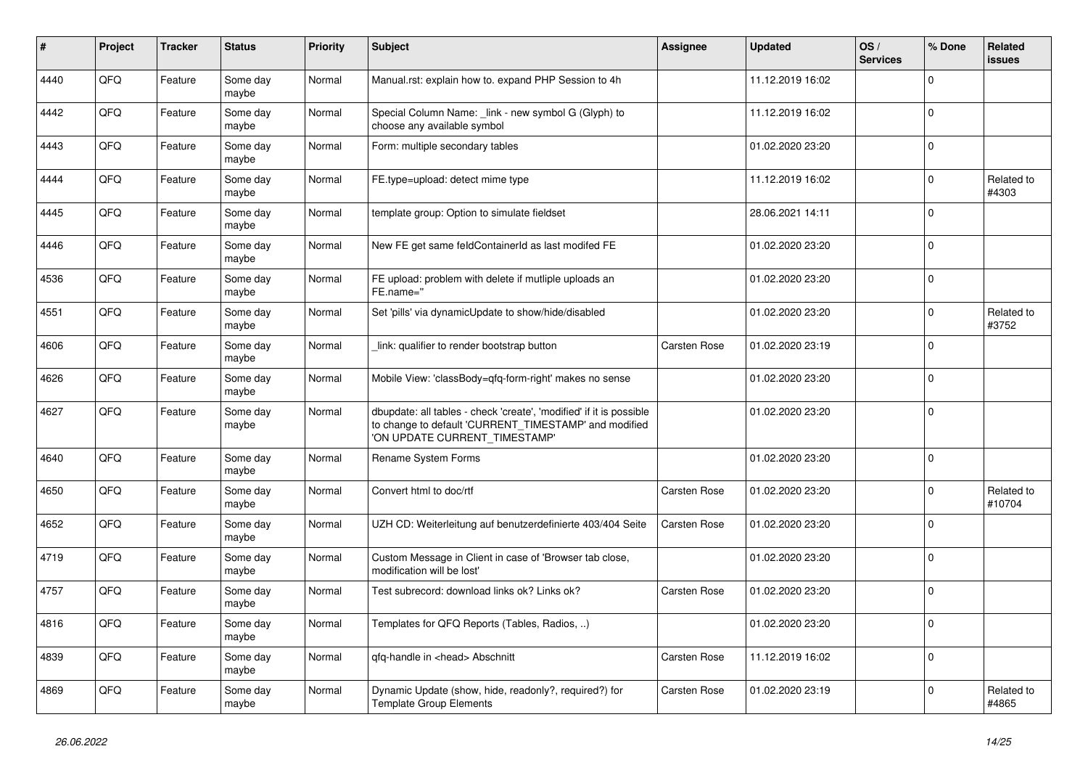| #    | Project | <b>Tracker</b> | <b>Status</b>     | <b>Priority</b> | <b>Subject</b>                                                                                                                                                | Assignee            | <b>Updated</b>   | OS/<br><b>Services</b> | % Done       | <b>Related</b><br>issues |
|------|---------|----------------|-------------------|-----------------|---------------------------------------------------------------------------------------------------------------------------------------------------------------|---------------------|------------------|------------------------|--------------|--------------------------|
| 4440 | QFQ     | Feature        | Some day<br>maybe | Normal          | Manual.rst: explain how to. expand PHP Session to 4h                                                                                                          |                     | 11.12.2019 16:02 |                        | $\Omega$     |                          |
| 4442 | QFQ     | Feature        | Some day<br>maybe | Normal          | Special Column Name: _link - new symbol G (Glyph) to<br>choose any available symbol                                                                           |                     | 11.12.2019 16:02 |                        | $\mathbf{0}$ |                          |
| 4443 | QFQ     | Feature        | Some day<br>maybe | Normal          | Form: multiple secondary tables                                                                                                                               |                     | 01.02.2020 23:20 |                        | <sup>0</sup> |                          |
| 4444 | QFQ     | Feature        | Some day<br>maybe | Normal          | FE.type=upload: detect mime type                                                                                                                              |                     | 11.12.2019 16:02 |                        | $\Omega$     | Related to<br>#4303      |
| 4445 | QFQ     | Feature        | Some day<br>maybe | Normal          | template group: Option to simulate fieldset                                                                                                                   |                     | 28.06.2021 14:11 |                        | $\Omega$     |                          |
| 4446 | QFQ     | Feature        | Some day<br>maybe | Normal          | New FE get same feldContainerId as last modifed FE                                                                                                            |                     | 01.02.2020 23:20 |                        | $\Omega$     |                          |
| 4536 | QFQ     | Feature        | Some day<br>maybe | Normal          | FE upload: problem with delete if mutliple uploads an<br>FE.name="                                                                                            |                     | 01.02.2020 23:20 |                        | $\Omega$     |                          |
| 4551 | QFQ     | Feature        | Some day<br>maybe | Normal          | Set 'pills' via dynamicUpdate to show/hide/disabled                                                                                                           |                     | 01.02.2020 23:20 |                        | $\Omega$     | Related to<br>#3752      |
| 4606 | QFQ     | Feature        | Some day<br>maybe | Normal          | link: qualifier to render bootstrap button                                                                                                                    | Carsten Rose        | 01.02.2020 23:19 |                        | $\Omega$     |                          |
| 4626 | QFQ     | Feature        | Some day<br>maybe | Normal          | Mobile View: 'classBody=qfq-form-right' makes no sense                                                                                                        |                     | 01.02.2020 23:20 |                        | $\Omega$     |                          |
| 4627 | QFQ     | Feature        | Some day<br>maybe | Normal          | dbupdate: all tables - check 'create', 'modified' if it is possible<br>to change to default 'CURRENT_TIMESTAMP' and modified<br>'ON UPDATE CURRENT_TIMESTAMP' |                     | 01.02.2020 23:20 |                        | $\Omega$     |                          |
| 4640 | QFQ     | Feature        | Some day<br>maybe | Normal          | Rename System Forms                                                                                                                                           |                     | 01.02.2020 23:20 |                        | $\Omega$     |                          |
| 4650 | QFQ     | Feature        | Some day<br>maybe | Normal          | Convert html to doc/rtf                                                                                                                                       | Carsten Rose        | 01.02.2020 23:20 |                        | $\Omega$     | Related to<br>#10704     |
| 4652 | QFQ     | Feature        | Some day<br>maybe | Normal          | UZH CD: Weiterleitung auf benutzerdefinierte 403/404 Seite                                                                                                    | Carsten Rose        | 01.02.2020 23:20 |                        | $\Omega$     |                          |
| 4719 | QFQ     | Feature        | Some day<br>maybe | Normal          | Custom Message in Client in case of 'Browser tab close,<br>modification will be lost'                                                                         |                     | 01.02.2020 23:20 |                        | $\mathbf{0}$ |                          |
| 4757 | QFQ     | Feature        | Some day<br>maybe | Normal          | Test subrecord: download links ok? Links ok?                                                                                                                  | <b>Carsten Rose</b> | 01.02.2020 23:20 |                        | $\Omega$     |                          |
| 4816 | QFQ     | Feature        | Some day<br>maybe | Normal          | Templates for QFQ Reports (Tables, Radios, )                                                                                                                  |                     | 01.02.2020 23:20 |                        | 0            |                          |
| 4839 | QFQ     | Feature        | Some day<br>maybe | Normal          | qfq-handle in <head> Abschnitt</head>                                                                                                                         | Carsten Rose        | 11.12.2019 16:02 |                        | $\Omega$     |                          |
| 4869 | QFQ     | Feature        | Some day<br>maybe | Normal          | Dynamic Update (show, hide, readonly?, required?) for<br><b>Template Group Elements</b>                                                                       | Carsten Rose        | 01.02.2020 23:19 |                        | $\Omega$     | Related to<br>#4865      |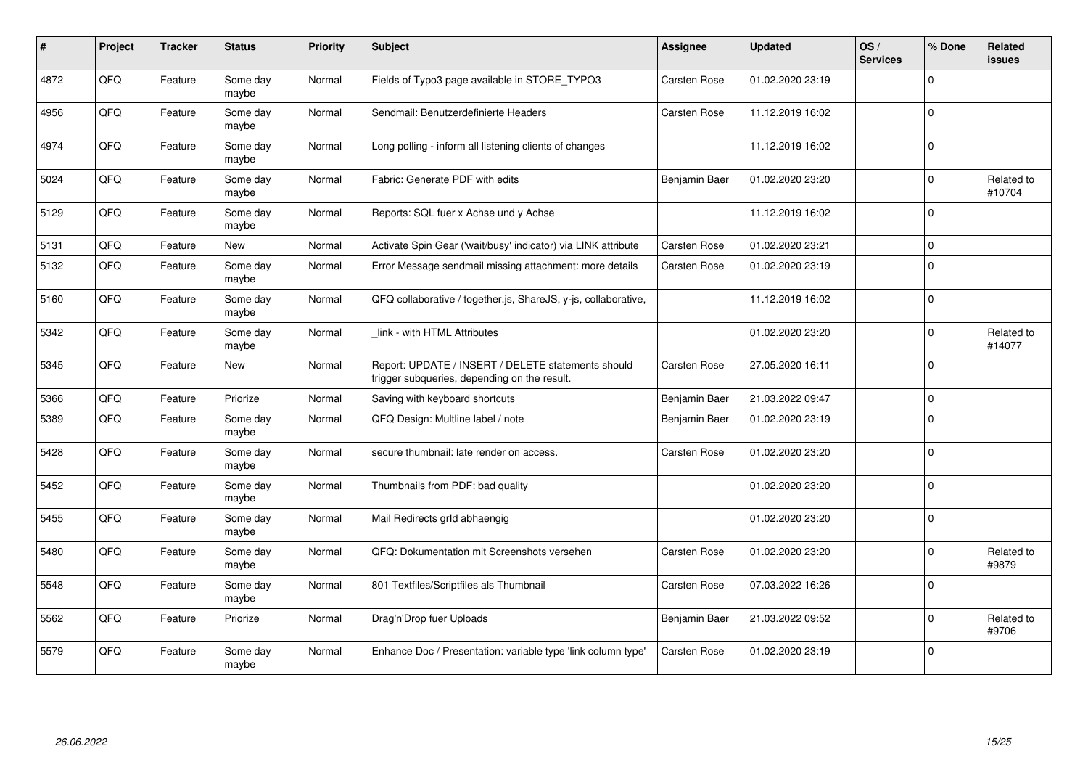| $\sharp$ | Project | <b>Tracker</b> | <b>Status</b>     | <b>Priority</b> | <b>Subject</b>                                                                                     | Assignee            | <b>Updated</b>   | OS/<br><b>Services</b> | % Done       | Related<br><b>issues</b> |
|----------|---------|----------------|-------------------|-----------------|----------------------------------------------------------------------------------------------------|---------------------|------------------|------------------------|--------------|--------------------------|
| 4872     | QFQ     | Feature        | Some day<br>maybe | Normal          | Fields of Typo3 page available in STORE_TYPO3                                                      | Carsten Rose        | 01.02.2020 23:19 |                        | $\Omega$     |                          |
| 4956     | QFQ     | Feature        | Some day<br>maybe | Normal          | Sendmail: Benutzerdefinierte Headers                                                               | Carsten Rose        | 11.12.2019 16:02 |                        | $\Omega$     |                          |
| 4974     | QFQ     | Feature        | Some day<br>maybe | Normal          | Long polling - inform all listening clients of changes                                             |                     | 11.12.2019 16:02 |                        | $\Omega$     |                          |
| 5024     | QFQ     | Feature        | Some day<br>maybe | Normal          | Fabric: Generate PDF with edits                                                                    | Benjamin Baer       | 01.02.2020 23:20 |                        | $\Omega$     | Related to<br>#10704     |
| 5129     | QFQ     | Feature        | Some day<br>maybe | Normal          | Reports: SQL fuer x Achse und y Achse                                                              |                     | 11.12.2019 16:02 |                        | $\Omega$     |                          |
| 5131     | QFQ     | Feature        | <b>New</b>        | Normal          | Activate Spin Gear ('wait/busy' indicator) via LINK attribute                                      | <b>Carsten Rose</b> | 01.02.2020 23:21 |                        | $\mathbf 0$  |                          |
| 5132     | QFQ     | Feature        | Some day<br>maybe | Normal          | Error Message sendmail missing attachment: more details                                            | <b>Carsten Rose</b> | 01.02.2020 23:19 |                        | $\Omega$     |                          |
| 5160     | QFQ     | Feature        | Some day<br>maybe | Normal          | QFQ collaborative / together.js, ShareJS, y-js, collaborative,                                     |                     | 11.12.2019 16:02 |                        | $\Omega$     |                          |
| 5342     | QFQ     | Feature        | Some day<br>maybe | Normal          | link - with HTML Attributes                                                                        |                     | 01.02.2020 23:20 |                        | $\Omega$     | Related to<br>#14077     |
| 5345     | QFQ     | Feature        | <b>New</b>        | Normal          | Report: UPDATE / INSERT / DELETE statements should<br>trigger subqueries, depending on the result. | <b>Carsten Rose</b> | 27.05.2020 16:11 |                        | $\Omega$     |                          |
| 5366     | QFQ     | Feature        | Priorize          | Normal          | Saving with keyboard shortcuts                                                                     | Benjamin Baer       | 21.03.2022 09:47 |                        | $\Omega$     |                          |
| 5389     | QFQ     | Feature        | Some day<br>maybe | Normal          | QFQ Design: Multline label / note                                                                  | Benjamin Baer       | 01.02.2020 23:19 |                        | $\Omega$     |                          |
| 5428     | QFQ     | Feature        | Some day<br>maybe | Normal          | secure thumbnail: late render on access.                                                           | Carsten Rose        | 01.02.2020 23:20 |                        | $\Omega$     |                          |
| 5452     | QFQ     | Feature        | Some day<br>maybe | Normal          | Thumbnails from PDF: bad quality                                                                   |                     | 01.02.2020 23:20 |                        | $\Omega$     |                          |
| 5455     | QFQ     | Feature        | Some day<br>maybe | Normal          | Mail Redirects grld abhaengig                                                                      |                     | 01.02.2020 23:20 |                        | $\mathbf{0}$ |                          |
| 5480     | QFQ     | Feature        | Some day<br>maybe | Normal          | QFQ: Dokumentation mit Screenshots versehen                                                        | Carsten Rose        | 01.02.2020 23:20 |                        | $\Omega$     | Related to<br>#9879      |
| 5548     | QFQ     | Feature        | Some day<br>maybe | Normal          | 801 Textfiles/Scriptfiles als Thumbnail                                                            | Carsten Rose        | 07.03.2022 16:26 |                        | $\Omega$     |                          |
| 5562     | QFQ     | Feature        | Priorize          | Normal          | Drag'n'Drop fuer Uploads                                                                           | Benjamin Baer       | 21.03.2022 09:52 |                        | $\Omega$     | Related to<br>#9706      |
| 5579     | QFQ     | Feature        | Some day<br>maybe | Normal          | Enhance Doc / Presentation: variable type 'link column type'                                       | Carsten Rose        | 01.02.2020 23:19 |                        | 0            |                          |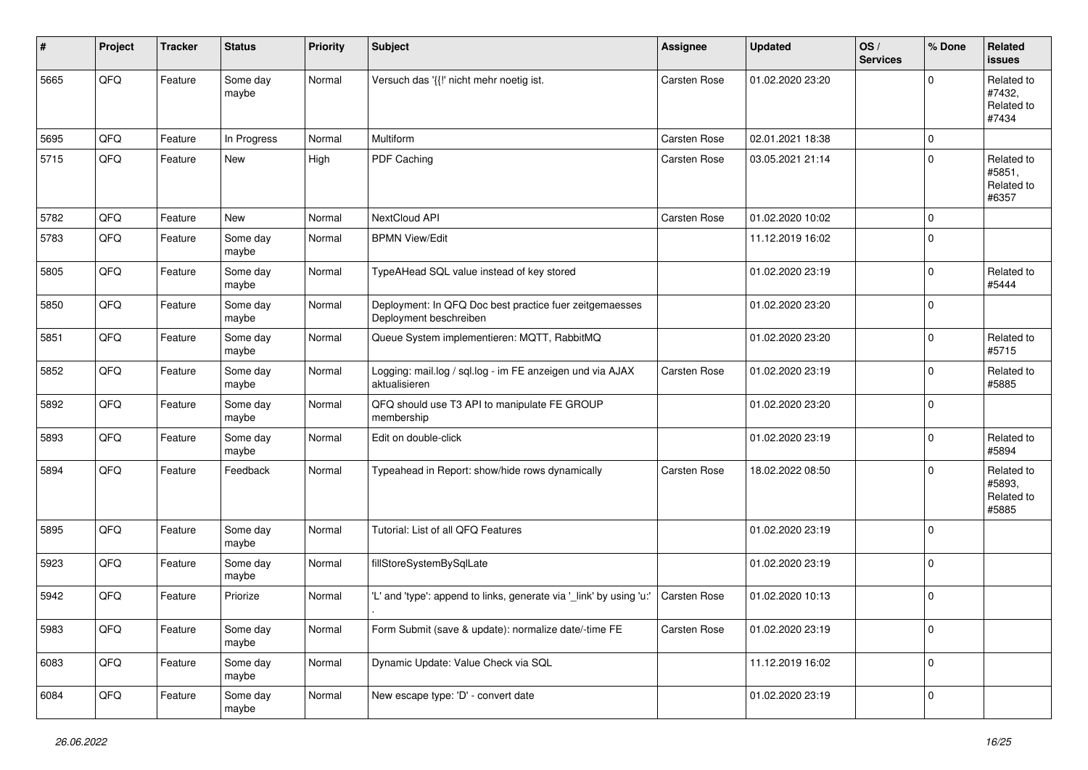| #    | Project | <b>Tracker</b> | <b>Status</b>     | <b>Priority</b> | <b>Subject</b>                                                                    | <b>Assignee</b>     | <b>Updated</b>   | OS/<br><b>Services</b> | % Done       | Related<br><b>issues</b>                    |
|------|---------|----------------|-------------------|-----------------|-----------------------------------------------------------------------------------|---------------------|------------------|------------------------|--------------|---------------------------------------------|
| 5665 | QFQ     | Feature        | Some day<br>maybe | Normal          | Versuch das '{{!' nicht mehr noetig ist.                                          | Carsten Rose        | 01.02.2020 23:20 |                        | <sup>0</sup> | Related to<br>#7432,<br>Related to<br>#7434 |
| 5695 | QFQ     | Feature        | In Progress       | Normal          | Multiform                                                                         | <b>Carsten Rose</b> | 02.01.2021 18:38 |                        | $\Omega$     |                                             |
| 5715 | QFQ     | Feature        | New               | High            | PDF Caching                                                                       | <b>Carsten Rose</b> | 03.05.2021 21:14 |                        | $\Omega$     | Related to<br>#5851,<br>Related to<br>#6357 |
| 5782 | QFQ     | Feature        | <b>New</b>        | Normal          | NextCloud API                                                                     | <b>Carsten Rose</b> | 01.02.2020 10:02 |                        | $\mathbf 0$  |                                             |
| 5783 | QFQ     | Feature        | Some day<br>maybe | Normal          | <b>BPMN View/Edit</b>                                                             |                     | 11.12.2019 16:02 |                        | $\Omega$     |                                             |
| 5805 | QFQ     | Feature        | Some day<br>maybe | Normal          | TypeAHead SQL value instead of key stored                                         |                     | 01.02.2020 23:19 |                        | $\Omega$     | Related to<br>#5444                         |
| 5850 | QFQ     | Feature        | Some day<br>maybe | Normal          | Deployment: In QFQ Doc best practice fuer zeitgemaesses<br>Deployment beschreiben |                     | 01.02.2020 23:20 |                        | $\Omega$     |                                             |
| 5851 | QFQ     | Feature        | Some day<br>maybe | Normal          | Queue System implementieren: MQTT, RabbitMQ                                       |                     | 01.02.2020 23:20 |                        | $\Omega$     | Related to<br>#5715                         |
| 5852 | QFQ     | Feature        | Some day<br>maybe | Normal          | Logging: mail.log / sql.log - im FE anzeigen und via AJAX<br>aktualisieren        | <b>Carsten Rose</b> | 01.02.2020 23:19 |                        | 0            | Related to<br>#5885                         |
| 5892 | QFQ     | Feature        | Some day<br>maybe | Normal          | QFQ should use T3 API to manipulate FE GROUP<br>membership                        |                     | 01.02.2020 23:20 |                        | $\mathbf 0$  |                                             |
| 5893 | QFQ     | Feature        | Some day<br>maybe | Normal          | Edit on double-click                                                              |                     | 01.02.2020 23:19 |                        | 0            | Related to<br>#5894                         |
| 5894 | QFQ     | Feature        | Feedback          | Normal          | Typeahead in Report: show/hide rows dynamically                                   | <b>Carsten Rose</b> | 18.02.2022 08:50 |                        | <sup>0</sup> | Related to<br>#5893,<br>Related to<br>#5885 |
| 5895 | QFQ     | Feature        | Some day<br>maybe | Normal          | Tutorial: List of all QFQ Features                                                |                     | 01.02.2020 23:19 |                        | 0            |                                             |
| 5923 | QFQ     | Feature        | Some day<br>maybe | Normal          | fillStoreSystemBySqlLate                                                          |                     | 01.02.2020 23:19 |                        | 0            |                                             |
| 5942 | QFQ     | Feature        | Priorize          | Normal          | 'L' and 'type': append to links, generate via '_link' by using 'u:'               | <b>Carsten Rose</b> | 01.02.2020 10:13 |                        | $\Omega$     |                                             |
| 5983 | QFQ     | Feature        | Some day<br>maybe | Normal          | Form Submit (save & update): normalize date/-time FE                              | Carsten Rose        | 01.02.2020 23:19 |                        | $\mathbf 0$  |                                             |
| 6083 | QFQ     | Feature        | Some day<br>maybe | Normal          | Dynamic Update: Value Check via SQL                                               |                     | 11.12.2019 16:02 |                        | $\mathbf 0$  |                                             |
| 6084 | QFQ     | Feature        | Some day<br>maybe | Normal          | New escape type: 'D' - convert date                                               |                     | 01.02.2020 23:19 |                        | 0            |                                             |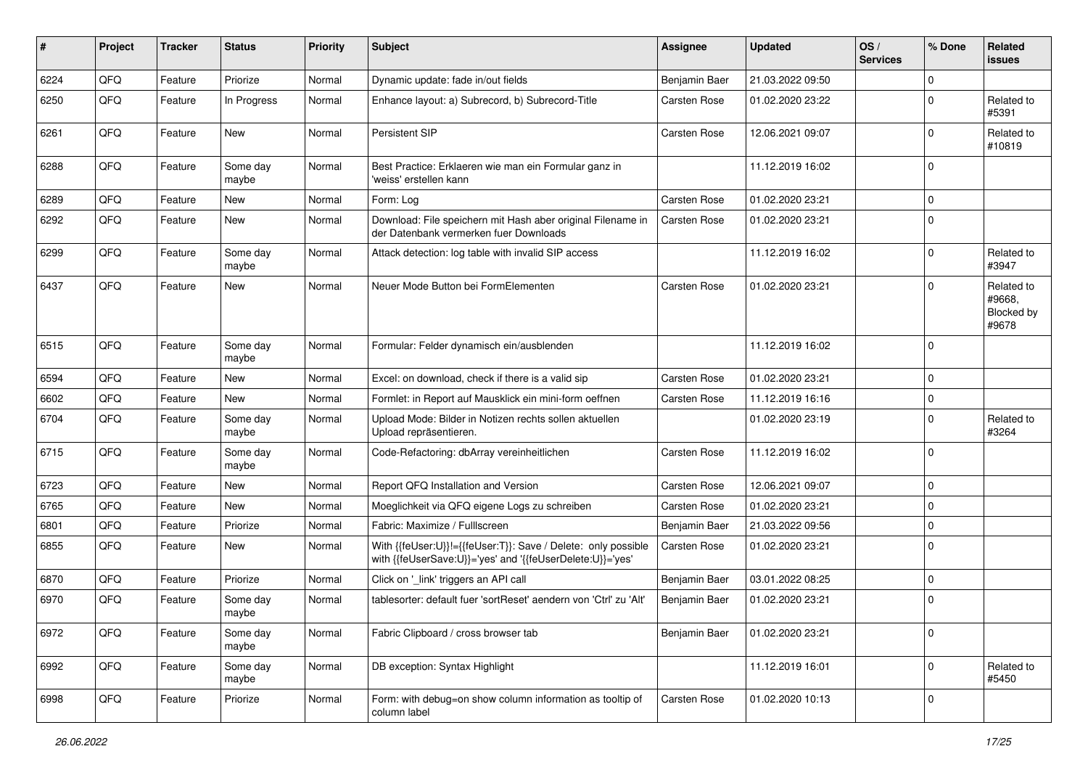| #    | Project | <b>Tracker</b> | <b>Status</b>     | <b>Priority</b> | <b>Subject</b>                                                                                                             | <b>Assignee</b>     | <b>Updated</b>   | OS/<br><b>Services</b> | % Done      | Related<br>issues                           |
|------|---------|----------------|-------------------|-----------------|----------------------------------------------------------------------------------------------------------------------------|---------------------|------------------|------------------------|-------------|---------------------------------------------|
| 6224 | QFQ     | Feature        | Priorize          | Normal          | Dynamic update: fade in/out fields                                                                                         | Benjamin Baer       | 21.03.2022 09:50 |                        | 0           |                                             |
| 6250 | QFQ     | Feature        | In Progress       | Normal          | Enhance layout: a) Subrecord, b) Subrecord-Title                                                                           | Carsten Rose        | 01.02.2020 23:22 |                        | U           | Related to<br>#5391                         |
| 6261 | QFQ     | Feature        | <b>New</b>        | Normal          | Persistent SIP                                                                                                             | Carsten Rose        | 12.06.2021 09:07 |                        | $\Omega$    | Related to<br>#10819                        |
| 6288 | QFQ     | Feature        | Some day<br>maybe | Normal          | Best Practice: Erklaeren wie man ein Formular ganz in<br>'weiss' erstellen kann                                            |                     | 11.12.2019 16:02 |                        | $\Omega$    |                                             |
| 6289 | QFQ     | Feature        | New               | Normal          | Form: Log                                                                                                                  | <b>Carsten Rose</b> | 01.02.2020 23:21 |                        | $\Omega$    |                                             |
| 6292 | QFQ     | Feature        | New               | Normal          | Download: File speichern mit Hash aber original Filename in<br>der Datenbank vermerken fuer Downloads                      | <b>Carsten Rose</b> | 01.02.2020 23:21 |                        | 0           |                                             |
| 6299 | QFQ     | Feature        | Some day<br>maybe | Normal          | Attack detection: log table with invalid SIP access                                                                        |                     | 11.12.2019 16:02 |                        | 0           | Related to<br>#3947                         |
| 6437 | QFQ     | Feature        | New               | Normal          | Neuer Mode Button bei FormElementen                                                                                        | Carsten Rose        | 01.02.2020 23:21 |                        | U           | Related to<br>#9668,<br>Blocked by<br>#9678 |
| 6515 | QFQ     | Feature        | Some day<br>maybe | Normal          | Formular: Felder dynamisch ein/ausblenden                                                                                  |                     | 11.12.2019 16:02 |                        | $\Omega$    |                                             |
| 6594 | QFQ     | Feature        | New               | Normal          | Excel: on download, check if there is a valid sip                                                                          | <b>Carsten Rose</b> | 01.02.2020 23:21 |                        | 0           |                                             |
| 6602 | QFQ     | Feature        | <b>New</b>        | Normal          | Formlet: in Report auf Mausklick ein mini-form oeffnen                                                                     | Carsten Rose        | 11.12.2019 16:16 |                        | $\Omega$    |                                             |
| 6704 | QFQ     | Feature        | Some day<br>maybe | Normal          | Upload Mode: Bilder in Notizen rechts sollen aktuellen<br>Upload repräsentieren.                                           |                     | 01.02.2020 23:19 |                        | $\Omega$    | Related to<br>#3264                         |
| 6715 | QFQ     | Feature        | Some day<br>maybe | Normal          | Code-Refactoring: dbArray vereinheitlichen                                                                                 | Carsten Rose        | 11.12.2019 16:02 |                        | 0           |                                             |
| 6723 | QFQ     | Feature        | New               | Normal          | Report QFQ Installation and Version                                                                                        | Carsten Rose        | 12.06.2021 09:07 |                        | $\mathbf 0$ |                                             |
| 6765 | QFQ     | Feature        | <b>New</b>        | Normal          | Moeglichkeit via QFQ eigene Logs zu schreiben                                                                              | Carsten Rose        | 01.02.2020 23:21 |                        | $\Omega$    |                                             |
| 6801 | QFQ     | Feature        | Priorize          | Normal          | Fabric: Maximize / Fulllscreen                                                                                             | Benjamin Baer       | 21.03.2022 09:56 |                        | 0           |                                             |
| 6855 | QFQ     | Feature        | New               | Normal          | With {{feUser:U}}!={{feUser:T}}: Save / Delete: only possible<br>with {{feUserSave:U}}='yes' and '{{feUserDelete:U}}='yes' | Carsten Rose        | 01.02.2020 23:21 |                        | $\Omega$    |                                             |
| 6870 | QFQ     | Feature        | Priorize          | Normal          | Click on '_link' triggers an API call                                                                                      | Benjamin Baer       | 03.01.2022 08:25 |                        | $\Omega$    |                                             |
| 6970 | QFQ     | Feature        | Some day<br>maybe | Normal          | tablesorter: default fuer 'sortReset' aendern von 'Ctrl' zu 'Alt'                                                          | Benjamin Baer       | 01.02.2020 23:21 |                        | $\Omega$    |                                             |
| 6972 | QFQ     | Feature        | Some day<br>maybe | Normal          | Fabric Clipboard / cross browser tab                                                                                       | Benjamin Baer       | 01.02.2020 23:21 |                        | $\mathbf 0$ |                                             |
| 6992 | QFQ     | Feature        | Some day<br>maybe | Normal          | DB exception: Syntax Highlight                                                                                             |                     | 11.12.2019 16:01 |                        | 0           | Related to<br>#5450                         |
| 6998 | QFQ     | Feature        | Priorize          | Normal          | Form: with debug=on show column information as tooltip of<br>column label                                                  | <b>Carsten Rose</b> | 01.02.2020 10:13 |                        | 0           |                                             |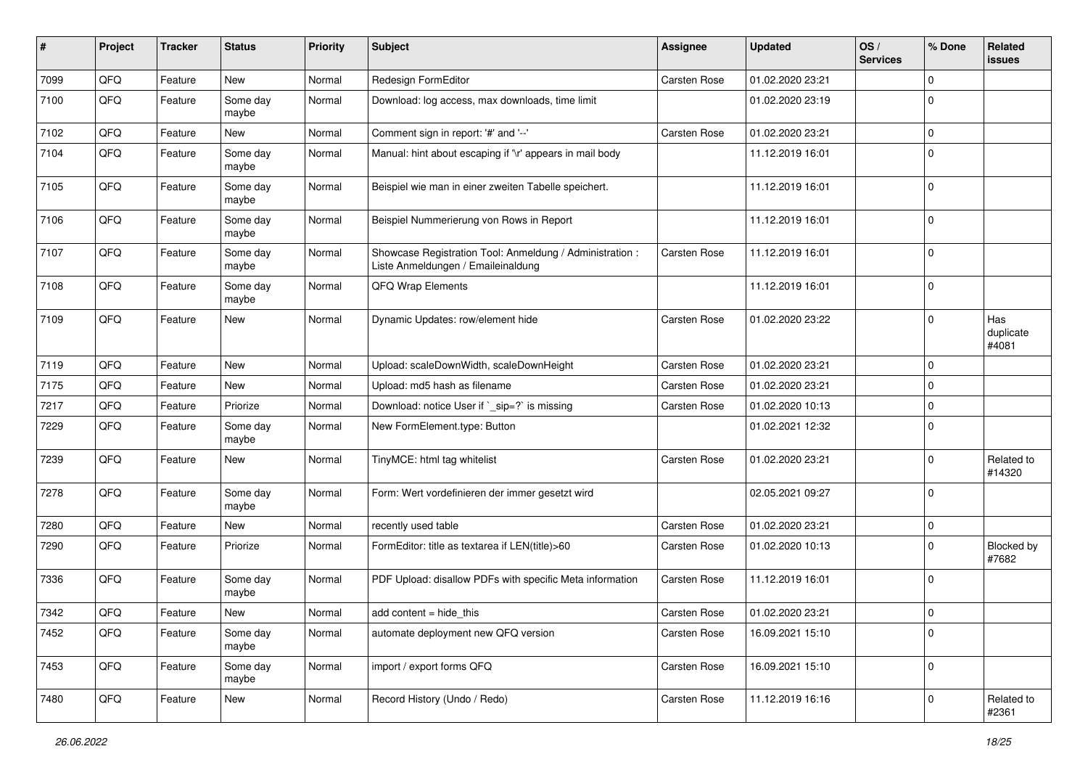| #    | Project | <b>Tracker</b> | <b>Status</b>     | <b>Priority</b> | Subject                                                                                        | <b>Assignee</b>     | <b>Updated</b>   | OS/<br><b>Services</b> | % Done       | Related<br>issues          |
|------|---------|----------------|-------------------|-----------------|------------------------------------------------------------------------------------------------|---------------------|------------------|------------------------|--------------|----------------------------|
| 7099 | QFQ     | Feature        | New               | Normal          | Redesign FormEditor                                                                            | Carsten Rose        | 01.02.2020 23:21 |                        | $\mathbf{0}$ |                            |
| 7100 | QFQ     | Feature        | Some day<br>maybe | Normal          | Download: log access, max downloads, time limit                                                |                     | 01.02.2020 23:19 |                        | $\mathbf 0$  |                            |
| 7102 | QFQ     | Feature        | New               | Normal          | Comment sign in report: '#' and '--'                                                           | <b>Carsten Rose</b> | 01.02.2020 23:21 |                        | 0            |                            |
| 7104 | QFQ     | Feature        | Some day<br>maybe | Normal          | Manual: hint about escaping if '\r' appears in mail body                                       |                     | 11.12.2019 16:01 |                        | 0            |                            |
| 7105 | QFQ     | Feature        | Some day<br>maybe | Normal          | Beispiel wie man in einer zweiten Tabelle speichert.                                           |                     | 11.12.2019 16:01 |                        | 0            |                            |
| 7106 | QFQ     | Feature        | Some day<br>maybe | Normal          | Beispiel Nummerierung von Rows in Report                                                       |                     | 11.12.2019 16:01 |                        | 0            |                            |
| 7107 | QFQ     | Feature        | Some day<br>maybe | Normal          | Showcase Registration Tool: Anmeldung / Administration :<br>Liste Anmeldungen / Emaileinaldung | <b>Carsten Rose</b> | 11.12.2019 16:01 |                        | $\mathbf 0$  |                            |
| 7108 | QFQ     | Feature        | Some day<br>maybe | Normal          | QFQ Wrap Elements                                                                              |                     | 11.12.2019 16:01 |                        | $\mathbf 0$  |                            |
| 7109 | QFQ     | Feature        | <b>New</b>        | Normal          | Dynamic Updates: row/element hide                                                              | <b>Carsten Rose</b> | 01.02.2020 23:22 |                        | $\mathbf{0}$ | Has<br>duplicate<br>#4081  |
| 7119 | QFQ     | Feature        | <b>New</b>        | Normal          | Upload: scaleDownWidth, scaleDownHeight                                                        | <b>Carsten Rose</b> | 01.02.2020 23:21 |                        | 0            |                            |
| 7175 | QFQ     | Feature        | New               | Normal          | Upload: md5 hash as filename                                                                   | <b>Carsten Rose</b> | 01.02.2020 23:21 |                        | 0            |                            |
| 7217 | QFQ     | Feature        | Priorize          | Normal          | Download: notice User if `_sip=?` is missing                                                   | <b>Carsten Rose</b> | 01.02.2020 10:13 |                        | 0            |                            |
| 7229 | QFQ     | Feature        | Some day<br>maybe | Normal          | New FormElement.type: Button                                                                   |                     | 01.02.2021 12:32 |                        | $\mathbf 0$  |                            |
| 7239 | QFQ     | Feature        | New               | Normal          | TinyMCE: html tag whitelist                                                                    | <b>Carsten Rose</b> | 01.02.2020 23:21 |                        | $\mathbf{0}$ | Related to<br>#14320       |
| 7278 | QFQ     | Feature        | Some day<br>maybe | Normal          | Form: Wert vordefinieren der immer gesetzt wird                                                |                     | 02.05.2021 09:27 |                        | $\mathbf 0$  |                            |
| 7280 | QFQ     | Feature        | New               | Normal          | recently used table                                                                            | Carsten Rose        | 01.02.2020 23:21 |                        | 0            |                            |
| 7290 | QFQ     | Feature        | Priorize          | Normal          | FormEditor: title as textarea if LEN(title)>60                                                 | Carsten Rose        | 01.02.2020 10:13 |                        | $\mathbf{0}$ | <b>Blocked by</b><br>#7682 |
| 7336 | QFQ     | Feature        | Some day<br>maybe | Normal          | PDF Upload: disallow PDFs with specific Meta information                                       | <b>Carsten Rose</b> | 11.12.2019 16:01 |                        | $\mathbf 0$  |                            |
| 7342 | QFQ     | Feature        | New               | Normal          | add content = hide_this                                                                        | <b>Carsten Rose</b> | 01.02.2020 23:21 |                        | 0            |                            |
| 7452 | QFQ     | Feature        | Some day<br>maybe | Normal          | automate deployment new QFQ version                                                            | Carsten Rose        | 16.09.2021 15:10 |                        | 0            |                            |
| 7453 | QFQ     | Feature        | Some day<br>maybe | Normal          | import / export forms QFQ                                                                      | Carsten Rose        | 16.09.2021 15:10 |                        | 0            |                            |
| 7480 | QFQ     | Feature        | New               | Normal          | Record History (Undo / Redo)                                                                   | Carsten Rose        | 11.12.2019 16:16 |                        | $\mathbf 0$  | Related to<br>#2361        |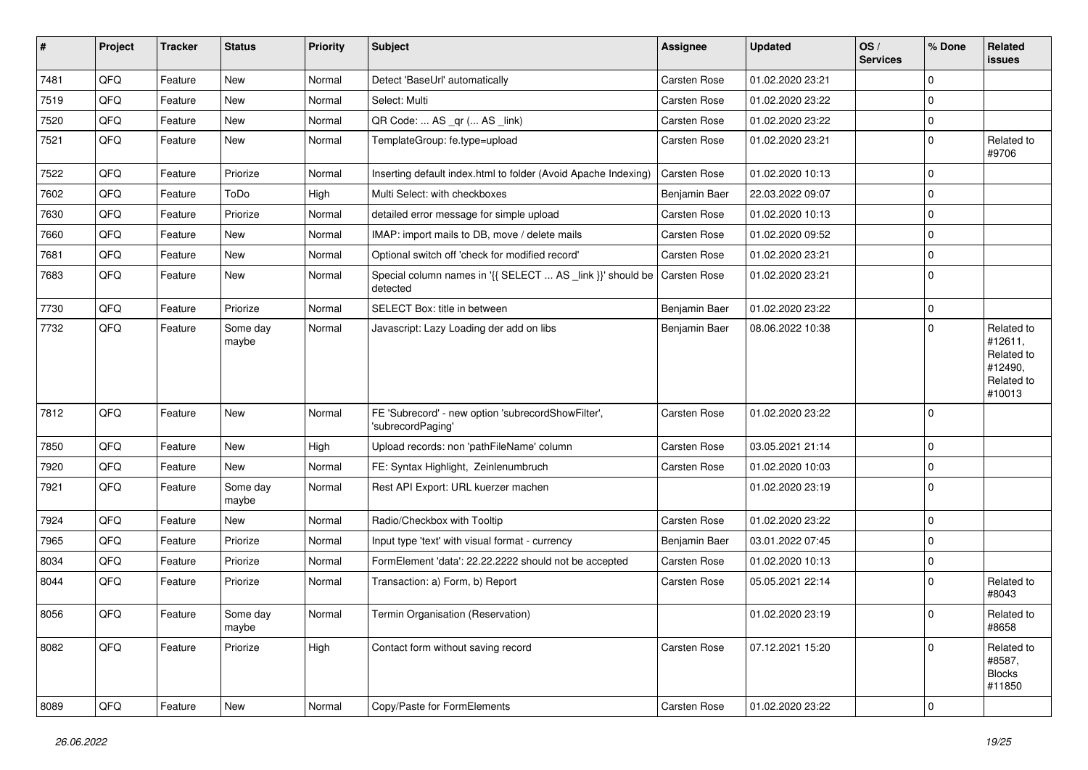| #    | Project | <b>Tracker</b> | <b>Status</b>     | <b>Priority</b> | Subject                                                                               | <b>Assignee</b>     | <b>Updated</b>   | OS/<br><b>Services</b> | % Done         | Related<br>issues                                                      |
|------|---------|----------------|-------------------|-----------------|---------------------------------------------------------------------------------------|---------------------|------------------|------------------------|----------------|------------------------------------------------------------------------|
| 7481 | QFQ     | Feature        | <b>New</b>        | Normal          | Detect 'BaseUrl' automatically                                                        | <b>Carsten Rose</b> | 01.02.2020 23:21 |                        | $\Omega$       |                                                                        |
| 7519 | QFQ     | Feature        | New               | Normal          | Select: Multi                                                                         | <b>Carsten Rose</b> | 01.02.2020 23:22 |                        | $\mathbf 0$    |                                                                        |
| 7520 | QFQ     | Feature        | New               | Normal          | QR Code:  AS _qr ( AS _link)                                                          | Carsten Rose        | 01.02.2020 23:22 |                        | $\overline{0}$ |                                                                        |
| 7521 | QFQ     | Feature        | New               | Normal          | TemplateGroup: fe.type=upload                                                         | <b>Carsten Rose</b> | 01.02.2020 23:21 |                        | $\mathbf 0$    | Related to<br>#9706                                                    |
| 7522 | QFQ     | Feature        | Priorize          | Normal          | Inserting default index.html to folder (Avoid Apache Indexing)                        | <b>Carsten Rose</b> | 01.02.2020 10:13 |                        | $\overline{0}$ |                                                                        |
| 7602 | QFQ     | Feature        | ToDo              | High            | Multi Select: with checkboxes                                                         | Benjamin Baer       | 22.03.2022 09:07 |                        | $\overline{0}$ |                                                                        |
| 7630 | QFQ     | Feature        | Priorize          | Normal          | detailed error message for simple upload                                              | <b>Carsten Rose</b> | 01.02.2020 10:13 |                        | $\mathbf 0$    |                                                                        |
| 7660 | QFQ     | Feature        | <b>New</b>        | Normal          | IMAP: import mails to DB, move / delete mails                                         | Carsten Rose        | 01.02.2020 09:52 |                        | $\mathbf 0$    |                                                                        |
| 7681 | QFQ     | Feature        | New               | Normal          | Optional switch off 'check for modified record'                                       | <b>Carsten Rose</b> | 01.02.2020 23:21 |                        | $\mathbf 0$    |                                                                        |
| 7683 | QFQ     | Feature        | New               | Normal          | Special column names in '{{ SELECT  AS _link }}' should be   Carsten Rose<br>detected |                     | 01.02.2020 23:21 |                        | $\overline{0}$ |                                                                        |
| 7730 | QFQ     | Feature        | Priorize          | Normal          | SELECT Box: title in between                                                          | Benjamin Baer       | 01.02.2020 23:22 |                        | $\mathbf 0$    |                                                                        |
| 7732 | QFQ     | Feature        | Some day<br>maybe | Normal          | Javascript: Lazy Loading der add on libs                                              | Benjamin Baer       | 08.06.2022 10:38 |                        | $\Omega$       | Related to<br>#12611,<br>Related to<br>#12490,<br>Related to<br>#10013 |
| 7812 | QFQ     | Feature        | <b>New</b>        | Normal          | FE 'Subrecord' - new option 'subrecordShowFilter',<br>'subrecordPaging'               | Carsten Rose        | 01.02.2020 23:22 |                        | $\mathbf 0$    |                                                                        |
| 7850 | QFQ     | Feature        | New               | High            | Upload records: non 'pathFileName' column                                             | <b>Carsten Rose</b> | 03.05.2021 21:14 |                        | $\overline{0}$ |                                                                        |
| 7920 | QFQ     | Feature        | New               | Normal          | FE: Syntax Highlight, Zeinlenumbruch                                                  | Carsten Rose        | 01.02.2020 10:03 |                        | $\mathbf 0$    |                                                                        |
| 7921 | QFQ     | Feature        | Some day<br>maybe | Normal          | Rest API Export: URL kuerzer machen                                                   |                     | 01.02.2020 23:19 |                        | $\Omega$       |                                                                        |
| 7924 | QFQ     | Feature        | New               | Normal          | Radio/Checkbox with Tooltip                                                           | <b>Carsten Rose</b> | 01.02.2020 23:22 |                        | $\overline{0}$ |                                                                        |
| 7965 | QFQ     | Feature        | Priorize          | Normal          | Input type 'text' with visual format - currency                                       | Benjamin Baer       | 03.01.2022 07:45 |                        | $\Omega$       |                                                                        |
| 8034 | QFQ     | Feature        | Priorize          | Normal          | FormElement 'data': 22.22.2222 should not be accepted                                 | <b>Carsten Rose</b> | 01.02.2020 10:13 |                        | $\mathbf 0$    |                                                                        |
| 8044 | QFQ     | Feature        | Priorize          | Normal          | Transaction: a) Form, b) Report                                                       | Carsten Rose        | 05.05.2021 22:14 |                        | $\Omega$       | Related to<br>#8043                                                    |
| 8056 | QFG     | Feature        | Some day<br>maybe | Normal          | Termin Organisation (Reservation)                                                     |                     | 01.02.2020 23:19 |                        | 0              | Related to<br>#8658                                                    |
| 8082 | QFQ     | Feature        | Priorize          | High            | Contact form without saving record                                                    | Carsten Rose        | 07.12.2021 15:20 |                        | $\overline{0}$ | Related to<br>#8587,<br><b>Blocks</b><br>#11850                        |
| 8089 | QFG     | Feature        | New               | Normal          | Copy/Paste for FormElements                                                           | Carsten Rose        | 01.02.2020 23:22 |                        | $\overline{0}$ |                                                                        |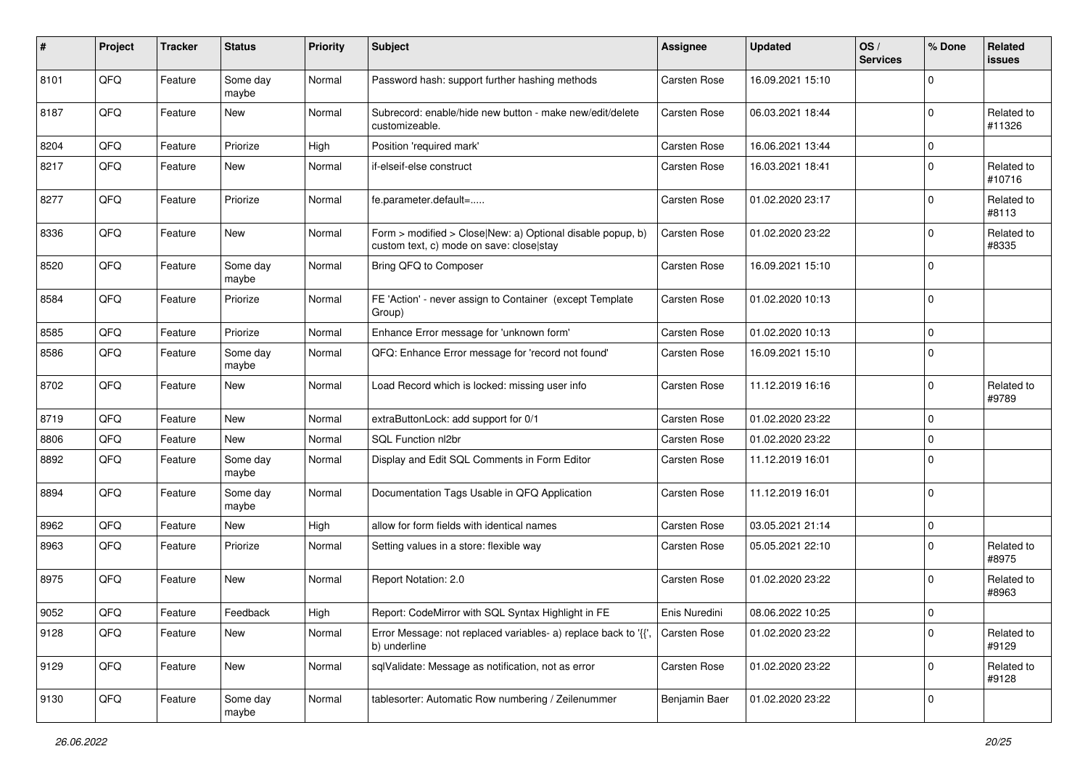| #    | Project | <b>Tracker</b> | <b>Status</b>     | <b>Priority</b> | <b>Subject</b>                                                                                         | Assignee            | <b>Updated</b>   | OS/<br><b>Services</b> | % Done         | Related<br>issues    |
|------|---------|----------------|-------------------|-----------------|--------------------------------------------------------------------------------------------------------|---------------------|------------------|------------------------|----------------|----------------------|
| 8101 | QFQ     | Feature        | Some day<br>maybe | Normal          | Password hash: support further hashing methods                                                         | Carsten Rose        | 16.09.2021 15:10 |                        | <sup>0</sup>   |                      |
| 8187 | QFQ     | Feature        | New               | Normal          | Subrecord: enable/hide new button - make new/edit/delete<br>customizeable.                             | <b>Carsten Rose</b> | 06.03.2021 18:44 |                        | $\Omega$       | Related to<br>#11326 |
| 8204 | QFQ     | Feature        | Priorize          | High            | Position 'required mark'                                                                               | Carsten Rose        | 16.06.2021 13:44 |                        | 0              |                      |
| 8217 | QFQ     | Feature        | New               | Normal          | if-elseif-else construct                                                                               | Carsten Rose        | 16.03.2021 18:41 |                        | $\Omega$       | Related to<br>#10716 |
| 8277 | QFQ     | Feature        | Priorize          | Normal          | fe.parameter.default=                                                                                  | Carsten Rose        | 01.02.2020 23:17 |                        | <sup>0</sup>   | Related to<br>#8113  |
| 8336 | QFQ     | Feature        | New               | Normal          | Form > modified > Close New: a) Optional disable popup, b)<br>custom text, c) mode on save: close stay | <b>Carsten Rose</b> | 01.02.2020 23:22 |                        | $\Omega$       | Related to<br>#8335  |
| 8520 | QFQ     | Feature        | Some day<br>maybe | Normal          | Bring QFQ to Composer                                                                                  | Carsten Rose        | 16.09.2021 15:10 |                        | 0              |                      |
| 8584 | QFQ     | Feature        | Priorize          | Normal          | FE 'Action' - never assign to Container (except Template<br>Group)                                     | Carsten Rose        | 01.02.2020 10:13 |                        | $\mathbf 0$    |                      |
| 8585 | QFQ     | Feature        | Priorize          | Normal          | Enhance Error message for 'unknown form'                                                               | Carsten Rose        | 01.02.2020 10:13 |                        | 0              |                      |
| 8586 | QFQ     | Feature        | Some day<br>maybe | Normal          | QFQ: Enhance Error message for 'record not found'                                                      | Carsten Rose        | 16.09.2021 15:10 |                        | $\Omega$       |                      |
| 8702 | QFQ     | Feature        | New               | Normal          | Load Record which is locked: missing user info                                                         | Carsten Rose        | 11.12.2019 16:16 |                        | <sup>0</sup>   | Related to<br>#9789  |
| 8719 | QFQ     | Feature        | New               | Normal          | extraButtonLock: add support for 0/1                                                                   | Carsten Rose        | 01.02.2020 23:22 |                        | $\mathbf 0$    |                      |
| 8806 | QFQ     | Feature        | New               | Normal          | SQL Function nl2br                                                                                     | Carsten Rose        | 01.02.2020 23:22 |                        | $\mathbf 0$    |                      |
| 8892 | QFQ     | Feature        | Some day<br>maybe | Normal          | Display and Edit SQL Comments in Form Editor                                                           | Carsten Rose        | 11.12.2019 16:01 |                        | $\Omega$       |                      |
| 8894 | QFQ     | Feature        | Some day<br>maybe | Normal          | Documentation Tags Usable in QFQ Application                                                           | Carsten Rose        | 11.12.2019 16:01 |                        | $\Omega$       |                      |
| 8962 | QFQ     | Feature        | New               | High            | allow for form fields with identical names                                                             | Carsten Rose        | 03.05.2021 21:14 |                        | 0              |                      |
| 8963 | QFQ     | Feature        | Priorize          | Normal          | Setting values in a store: flexible way                                                                | Carsten Rose        | 05.05.2021 22:10 |                        | $\Omega$       | Related to<br>#8975  |
| 8975 | QFQ     | Feature        | New               | Normal          | Report Notation: 2.0                                                                                   | Carsten Rose        | 01.02.2020 23:22 |                        | 0              | Related to<br>#8963  |
| 9052 | QFQ     | Feature        | Feedback          | High            | Report: CodeMirror with SQL Syntax Highlight in FE                                                     | Enis Nuredini       | 08.06.2022 10:25 |                        | $\overline{0}$ |                      |
| 9128 | QFQ     | Feature        | New               | Normal          | Error Message: not replaced variables- a) replace back to '{',<br>b) underline                         | <b>Carsten Rose</b> | 01.02.2020 23:22 |                        | $\Omega$       | Related to<br>#9129  |
| 9129 | QFQ     | Feature        | New               | Normal          | sqlValidate: Message as notification, not as error                                                     | Carsten Rose        | 01.02.2020 23:22 |                        | 0              | Related to<br>#9128  |
| 9130 | QFQ     | Feature        | Some day<br>maybe | Normal          | tablesorter: Automatic Row numbering / Zeilenummer                                                     | Benjamin Baer       | 01.02.2020 23:22 |                        | 0              |                      |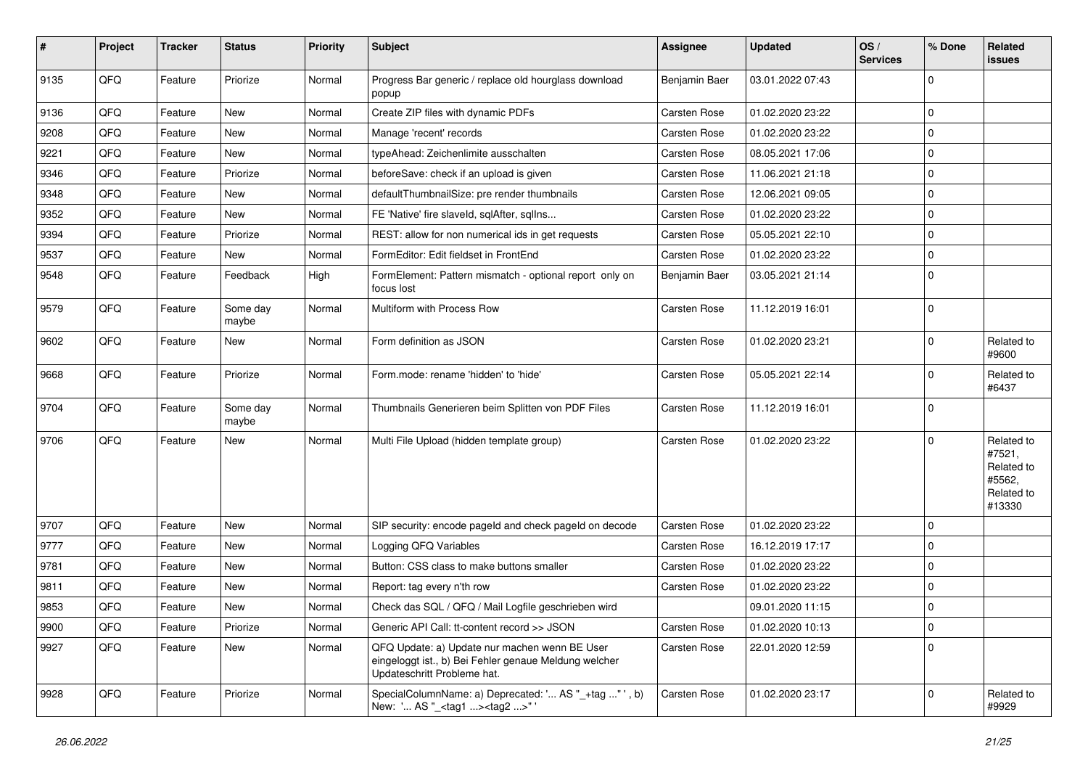| #    | Project | <b>Tracker</b> | <b>Status</b>     | <b>Priority</b> | Subject                                                                                                                               | <b>Assignee</b>     | <b>Updated</b>   | OS/<br><b>Services</b> | % Done       | Related<br>issues                                                    |
|------|---------|----------------|-------------------|-----------------|---------------------------------------------------------------------------------------------------------------------------------------|---------------------|------------------|------------------------|--------------|----------------------------------------------------------------------|
| 9135 | QFQ     | Feature        | Priorize          | Normal          | Progress Bar generic / replace old hourglass download<br>popup                                                                        | Benjamin Baer       | 03.01.2022 07:43 |                        | 0            |                                                                      |
| 9136 | QFQ     | Feature        | New               | Normal          | Create ZIP files with dynamic PDFs                                                                                                    | <b>Carsten Rose</b> | 01.02.2020 23:22 |                        | 0            |                                                                      |
| 9208 | QFQ     | Feature        | <b>New</b>        | Normal          | Manage 'recent' records                                                                                                               | <b>Carsten Rose</b> | 01.02.2020 23:22 |                        | $\mathbf{0}$ |                                                                      |
| 9221 | QFQ     | Feature        | New               | Normal          | typeAhead: Zeichenlimite ausschalten                                                                                                  | <b>Carsten Rose</b> | 08.05.2021 17:06 |                        | 0            |                                                                      |
| 9346 | QFQ     | Feature        | Priorize          | Normal          | beforeSave: check if an upload is given                                                                                               | <b>Carsten Rose</b> | 11.06.2021 21:18 |                        | 0            |                                                                      |
| 9348 | QFQ     | Feature        | New               | Normal          | defaultThumbnailSize: pre render thumbnails                                                                                           | <b>Carsten Rose</b> | 12.06.2021 09:05 |                        | 0            |                                                                      |
| 9352 | QFQ     | Feature        | New               | Normal          | FE 'Native' fire slaveld, sqlAfter, sqlIns                                                                                            | <b>Carsten Rose</b> | 01.02.2020 23:22 |                        | 0            |                                                                      |
| 9394 | QFQ     | Feature        | Priorize          | Normal          | REST: allow for non numerical ids in get requests                                                                                     | Carsten Rose        | 05.05.2021 22:10 |                        | 0            |                                                                      |
| 9537 | QFQ     | Feature        | New               | Normal          | FormEditor: Edit fieldset in FrontEnd                                                                                                 | <b>Carsten Rose</b> | 01.02.2020 23:22 |                        | 0            |                                                                      |
| 9548 | QFQ     | Feature        | Feedback          | High            | FormElement: Pattern mismatch - optional report only on<br>focus lost                                                                 | Benjamin Baer       | 03.05.2021 21:14 |                        | $\mathbf 0$  |                                                                      |
| 9579 | QFQ     | Feature        | Some day<br>maybe | Normal          | Multiform with Process Row                                                                                                            | Carsten Rose        | 11.12.2019 16:01 |                        | $\mathbf 0$  |                                                                      |
| 9602 | QFQ     | Feature        | New               | Normal          | Form definition as JSON                                                                                                               | <b>Carsten Rose</b> | 01.02.2020 23:21 |                        | $\mathbf 0$  | Related to<br>#9600                                                  |
| 9668 | QFQ     | Feature        | Priorize          | Normal          | Form.mode: rename 'hidden' to 'hide'                                                                                                  | <b>Carsten Rose</b> | 05.05.2021 22:14 |                        | 0            | Related to<br>#6437                                                  |
| 9704 | QFQ     | Feature        | Some day<br>maybe | Normal          | Thumbnails Generieren beim Splitten von PDF Files                                                                                     | <b>Carsten Rose</b> | 11.12.2019 16:01 |                        | 0            |                                                                      |
| 9706 | QFQ     | Feature        | New               | Normal          | Multi File Upload (hidden template group)                                                                                             | Carsten Rose        | 01.02.2020 23:22 |                        | $\mathbf 0$  | Related to<br>#7521,<br>Related to<br>#5562,<br>Related to<br>#13330 |
| 9707 | QFQ     | Feature        | New               | Normal          | SIP security: encode pageld and check pageld on decode                                                                                | <b>Carsten Rose</b> | 01.02.2020 23:22 |                        | $\mathbf 0$  |                                                                      |
| 9777 | QFQ     | Feature        | New               | Normal          | Logging QFQ Variables                                                                                                                 | <b>Carsten Rose</b> | 16.12.2019 17:17 |                        | 0            |                                                                      |
| 9781 | QFQ     | Feature        | New               | Normal          | Button: CSS class to make buttons smaller                                                                                             | <b>Carsten Rose</b> | 01.02.2020 23:22 |                        | 0            |                                                                      |
| 9811 | QFQ     | Feature        | New               | Normal          | Report: tag every n'th row                                                                                                            | <b>Carsten Rose</b> | 01.02.2020 23:22 |                        | 0            |                                                                      |
| 9853 | QFQ     | Feature        | New               | Normal          | Check das SQL / QFQ / Mail Logfile geschrieben wird                                                                                   |                     | 09.01.2020 11:15 |                        | 0            |                                                                      |
| 9900 | QFQ     | Feature        | Priorize          | Normal          | Generic API Call: tt-content record >> JSON                                                                                           | <b>Carsten Rose</b> | 01.02.2020 10:13 |                        | $\mathbf 0$  |                                                                      |
| 9927 | QFQ     | Feature        | New               | Normal          | QFQ Update: a) Update nur machen wenn BE User<br>eingeloggt ist., b) Bei Fehler genaue Meldung welcher<br>Updateschritt Probleme hat. | Carsten Rose        | 22.01.2020 12:59 |                        | 0            |                                                                      |
| 9928 | QFQ     | Feature        | Priorize          | Normal          | SpecialColumnName: a) Deprecated: ' AS "_+tag " ', b)<br>New: ' AS "_ <tag1><tag2>"'</tag2></tag1>                                    | <b>Carsten Rose</b> | 01.02.2020 23:17 |                        | 0            | Related to<br>#9929                                                  |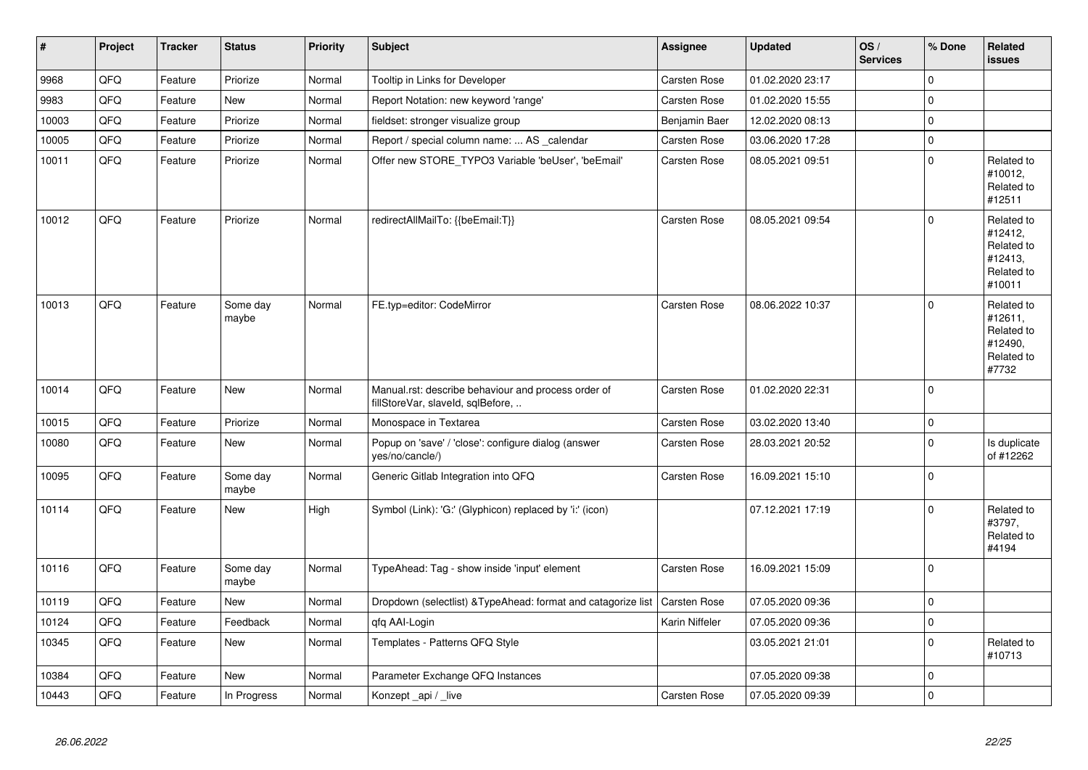| $\vert$ # | Project | <b>Tracker</b> | <b>Status</b>     | Priority | Subject                                                                                  | Assignee            | <b>Updated</b>   | OS/<br><b>Services</b> | % Done       | Related<br><b>issues</b>                                               |
|-----------|---------|----------------|-------------------|----------|------------------------------------------------------------------------------------------|---------------------|------------------|------------------------|--------------|------------------------------------------------------------------------|
| 9968      | QFQ     | Feature        | Priorize          | Normal   | Tooltip in Links for Developer                                                           | Carsten Rose        | 01.02.2020 23:17 |                        | $\Omega$     |                                                                        |
| 9983      | QFQ     | Feature        | <b>New</b>        | Normal   | Report Notation: new keyword 'range'                                                     | Carsten Rose        | 01.02.2020 15:55 |                        | $\mathbf 0$  |                                                                        |
| 10003     | QFQ     | Feature        | Priorize          | Normal   | fieldset: stronger visualize group                                                       | Benjamin Baer       | 12.02.2020 08:13 |                        | $\mathbf 0$  |                                                                        |
| 10005     | QFQ     | Feature        | Priorize          | Normal   | Report / special column name:  AS _calendar                                              | Carsten Rose        | 03.06.2020 17:28 |                        | $\mathbf{0}$ |                                                                        |
| 10011     | QFQ     | Feature        | Priorize          | Normal   | Offer new STORE_TYPO3 Variable 'beUser', 'beEmail'                                       | Carsten Rose        | 08.05.2021 09:51 |                        | $\mathbf 0$  | Related to<br>#10012,<br>Related to<br>#12511                          |
| 10012     | QFQ     | Feature        | Priorize          | Normal   | redirectAllMailTo: {{beEmail:T}}                                                         | <b>Carsten Rose</b> | 08.05.2021 09:54 |                        | $\Omega$     | Related to<br>#12412,<br>Related to<br>#12413,<br>Related to<br>#10011 |
| 10013     | QFQ     | Feature        | Some day<br>maybe | Normal   | FE.typ=editor: CodeMirror                                                                | <b>Carsten Rose</b> | 08.06.2022 10:37 |                        | $\Omega$     | Related to<br>#12611,<br>Related to<br>#12490,<br>Related to<br>#7732  |
| 10014     | QFQ     | Feature        | <b>New</b>        | Normal   | Manual.rst: describe behaviour and process order of<br>fillStoreVar, slaveId, sqlBefore, | <b>Carsten Rose</b> | 01.02.2020 22:31 |                        | $\Omega$     |                                                                        |
| 10015     | QFQ     | Feature        | Priorize          | Normal   | Monospace in Textarea                                                                    | <b>Carsten Rose</b> | 03.02.2020 13:40 |                        | $\mathbf 0$  |                                                                        |
| 10080     | QFQ     | Feature        | <b>New</b>        | Normal   | Popup on 'save' / 'close': configure dialog (answer<br>yes/no/cancle/)                   | Carsten Rose        | 28.03.2021 20:52 |                        | $\mathbf 0$  | Is duplicate<br>of #12262                                              |
| 10095     | QFQ     | Feature        | Some day<br>maybe | Normal   | Generic Gitlab Integration into QFQ                                                      | <b>Carsten Rose</b> | 16.09.2021 15:10 |                        | $\mathbf 0$  |                                                                        |
| 10114     | QFQ     | Feature        | New               | High     | Symbol (Link): 'G:' (Glyphicon) replaced by 'i:' (icon)                                  |                     | 07.12.2021 17:19 |                        | $\Omega$     | Related to<br>#3797,<br>Related to<br>#4194                            |
| 10116     | QFQ     | Feature        | Some day<br>maybe | Normal   | TypeAhead: Tag - show inside 'input' element                                             | <b>Carsten Rose</b> | 16.09.2021 15:09 |                        | $\mathbf 0$  |                                                                        |
| 10119     | QFQ     | Feature        | <b>New</b>        | Normal   | Dropdown (selectlist) & Type Ahead: format and catagorize list                           | <b>Carsten Rose</b> | 07.05.2020 09:36 |                        | $\mathbf 0$  |                                                                        |
| 10124     | QFQ     | Feature        | Feedback          | Normal   | gfg AAI-Login                                                                            | Karin Niffeler      | 07.05.2020 09:36 |                        | $\mathbf 0$  |                                                                        |
| 10345     | QFQ     | Feature        | <b>New</b>        | Normal   | Templates - Patterns QFQ Style                                                           |                     | 03.05.2021 21:01 |                        | $\mathbf 0$  | Related to<br>#10713                                                   |
| 10384     | QFQ     | Feature        | <b>New</b>        | Normal   | Parameter Exchange QFQ Instances                                                         |                     | 07.05.2020 09:38 |                        | $\mathbf 0$  |                                                                        |
| 10443     | QFQ     | Feature        | In Progress       | Normal   | Konzept _api / _live                                                                     | <b>Carsten Rose</b> | 07.05.2020 09:39 |                        | $\mathbf 0$  |                                                                        |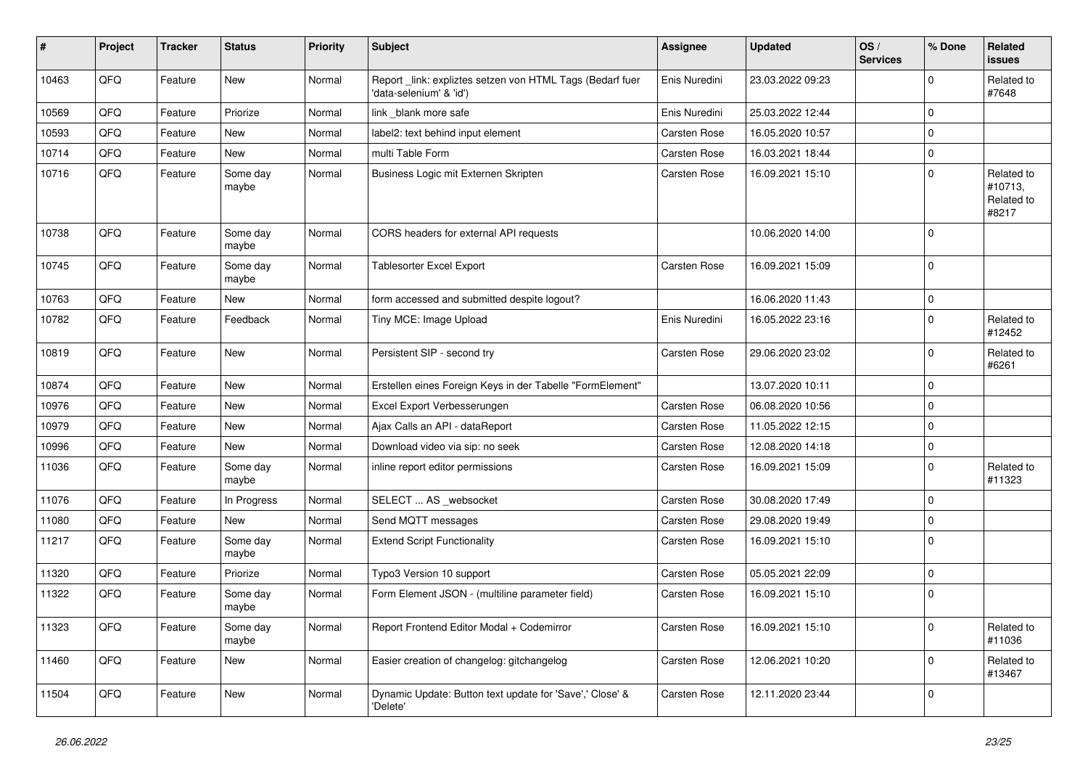| #     | Project | <b>Tracker</b> | <b>Status</b>     | <b>Priority</b> | Subject                                                                              | Assignee            | <b>Updated</b>   | OS/<br><b>Services</b> | % Done       | Related<br>issues                            |
|-------|---------|----------------|-------------------|-----------------|--------------------------------------------------------------------------------------|---------------------|------------------|------------------------|--------------|----------------------------------------------|
| 10463 | QFQ     | Feature        | <b>New</b>        | Normal          | Report _link: expliztes setzen von HTML Tags (Bedarf fuer<br>'data-selenium' & 'id') | Enis Nuredini       | 23.03.2022 09:23 |                        | <sup>0</sup> | Related to<br>#7648                          |
| 10569 | QFQ     | Feature        | Priorize          | Normal          | link _blank more safe                                                                | Enis Nuredini       | 25.03.2022 12:44 |                        | $\Omega$     |                                              |
| 10593 | QFQ     | Feature        | <b>New</b>        | Normal          | label2: text behind input element                                                    | <b>Carsten Rose</b> | 16.05.2020 10:57 |                        | $\Omega$     |                                              |
| 10714 | QFQ     | Feature        | New               | Normal          | multi Table Form                                                                     | Carsten Rose        | 16.03.2021 18:44 |                        | 0            |                                              |
| 10716 | QFQ     | Feature        | Some day<br>maybe | Normal          | Business Logic mit Externen Skripten                                                 | <b>Carsten Rose</b> | 16.09.2021 15:10 |                        | $\Omega$     | Related to<br>#10713,<br>Related to<br>#8217 |
| 10738 | QFQ     | Feature        | Some day<br>maybe | Normal          | CORS headers for external API requests                                               |                     | 10.06.2020 14:00 |                        | $\mathbf 0$  |                                              |
| 10745 | QFQ     | Feature        | Some day<br>maybe | Normal          | <b>Tablesorter Excel Export</b>                                                      | <b>Carsten Rose</b> | 16.09.2021 15:09 |                        | 0            |                                              |
| 10763 | QFQ     | Feature        | New               | Normal          | form accessed and submitted despite logout?                                          |                     | 16.06.2020 11:43 |                        | $\mathbf 0$  |                                              |
| 10782 | QFQ     | Feature        | Feedback          | Normal          | Tiny MCE: Image Upload                                                               | Enis Nuredini       | 16.05.2022 23:16 |                        | $\Omega$     | Related to<br>#12452                         |
| 10819 | QFQ     | Feature        | <b>New</b>        | Normal          | Persistent SIP - second try                                                          | <b>Carsten Rose</b> | 29.06.2020 23:02 |                        | $\Omega$     | Related to<br>#6261                          |
| 10874 | QFQ     | Feature        | New               | Normal          | Erstellen eines Foreign Keys in der Tabelle "FormElement"                            |                     | 13.07.2020 10:11 |                        | $\Omega$     |                                              |
| 10976 | QFQ     | Feature        | <b>New</b>        | Normal          | Excel Export Verbesserungen                                                          | <b>Carsten Rose</b> | 06.08.2020 10:56 |                        | 0            |                                              |
| 10979 | QFQ     | Feature        | New               | Normal          | Ajax Calls an API - dataReport                                                       | <b>Carsten Rose</b> | 11.05.2022 12:15 |                        | 0            |                                              |
| 10996 | QFQ     | Feature        | New               | Normal          | Download video via sip: no seek                                                      | <b>Carsten Rose</b> | 12.08.2020 14:18 |                        | $\mathbf 0$  |                                              |
| 11036 | QFQ     | Feature        | Some day<br>maybe | Normal          | inline report editor permissions                                                     | <b>Carsten Rose</b> | 16.09.2021 15:09 |                        | $\Omega$     | Related to<br>#11323                         |
| 11076 | QFQ     | Feature        | In Progress       | Normal          | SELECT  AS _websocket                                                                | <b>Carsten Rose</b> | 30.08.2020 17:49 |                        | $\mathbf 0$  |                                              |
| 11080 | QFQ     | Feature        | New               | Normal          | Send MQTT messages                                                                   | <b>Carsten Rose</b> | 29.08.2020 19:49 |                        | $\mathbf 0$  |                                              |
| 11217 | QFQ     | Feature        | Some day<br>maybe | Normal          | <b>Extend Script Functionality</b>                                                   | Carsten Rose        | 16.09.2021 15:10 |                        | $\Omega$     |                                              |
| 11320 | QFQ     | Feature        | Priorize          | Normal          | Typo3 Version 10 support                                                             | <b>Carsten Rose</b> | 05.05.2021 22:09 |                        | $\mathbf 0$  |                                              |
| 11322 | QFQ     | Feature        | Some day<br>maybe | Normal          | Form Element JSON - (multiline parameter field)                                      | Carsten Rose        | 16.09.2021 15:10 |                        | $\mathbf 0$  |                                              |
| 11323 | QFQ     | Feature        | Some day<br>maybe | Normal          | Report Frontend Editor Modal + Codemirror                                            | Carsten Rose        | 16.09.2021 15:10 |                        | 0            | Related to<br>#11036                         |
| 11460 | QFO     | Feature        | New               | Normal          | Easier creation of changelog: gitchangelog                                           | Carsten Rose        | 12.06.2021 10:20 |                        | $\mathbf 0$  | Related to<br>#13467                         |
| 11504 | QFQ     | Feature        | New               | Normal          | Dynamic Update: Button text update for 'Save',' Close' &<br>'Delete'                 | Carsten Rose        | 12.11.2020 23:44 |                        | $\mathbf 0$  |                                              |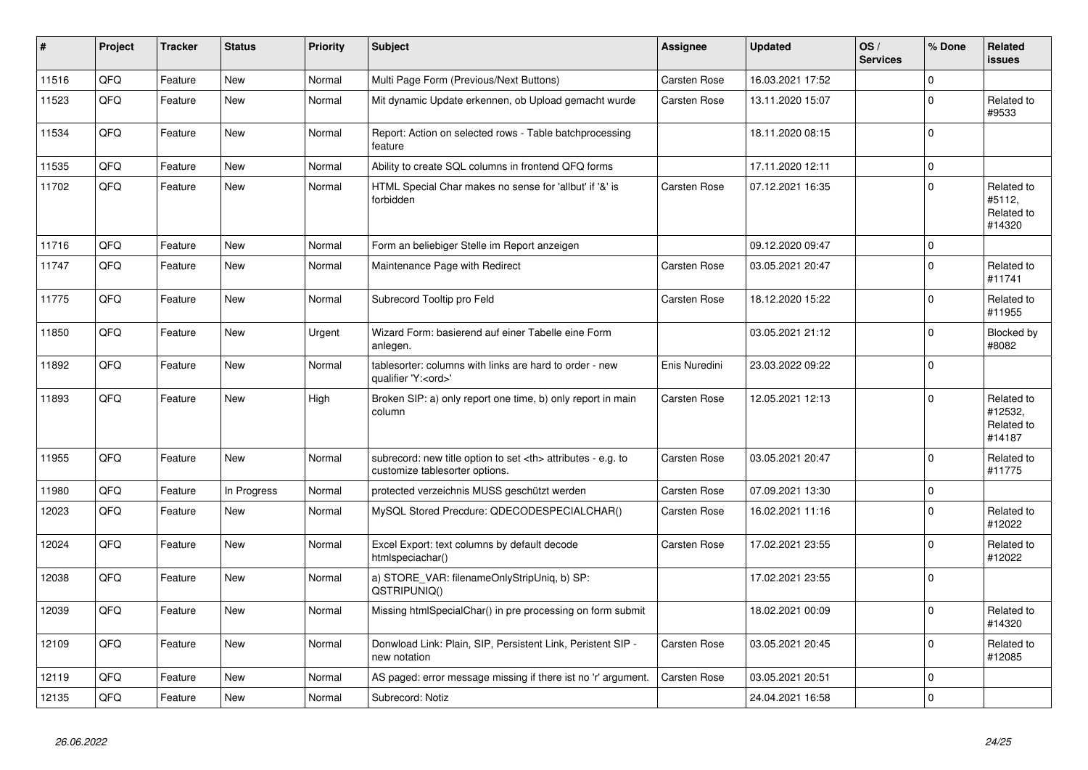| #     | Project | <b>Tracker</b> | <b>Status</b> | <b>Priority</b> | <b>Subject</b>                                                                                       | <b>Assignee</b>                                        | <b>Updated</b>      | OS/<br><b>Services</b> | % Done       | Related<br><b>issues</b>                      |                      |
|-------|---------|----------------|---------------|-----------------|------------------------------------------------------------------------------------------------------|--------------------------------------------------------|---------------------|------------------------|--------------|-----------------------------------------------|----------------------|
| 11516 | QFQ     | Feature        | <b>New</b>    | Normal          | Multi Page Form (Previous/Next Buttons)                                                              | <b>Carsten Rose</b>                                    | 16.03.2021 17:52    |                        | $\Omega$     |                                               |                      |
| 11523 | QFQ     | Feature        | <b>New</b>    | Normal          | Mit dynamic Update erkennen, ob Upload gemacht wurde                                                 | <b>Carsten Rose</b>                                    | 13.11.2020 15:07    |                        | $\Omega$     | Related to<br>#9533                           |                      |
| 11534 | QFQ     | Feature        | <b>New</b>    | Normal          | Report: Action on selected rows - Table batchprocessing<br>feature                                   |                                                        | 18.11.2020 08:15    |                        | $\Omega$     |                                               |                      |
| 11535 | QFQ     | Feature        | <b>New</b>    | Normal          | Ability to create SQL columns in frontend QFQ forms                                                  |                                                        | 17.11.2020 12:11    |                        | $\mathbf 0$  |                                               |                      |
| 11702 | QFQ     | Feature        | <b>New</b>    | Normal          | HTML Special Char makes no sense for 'allbut' if '&' is<br>forbidden                                 | <b>Carsten Rose</b>                                    | 07.12.2021 16:35    |                        | $\Omega$     | Related to<br>#5112,<br>Related to<br>#14320  |                      |
| 11716 | QFQ     | Feature        | <b>New</b>    | Normal          | Form an beliebiger Stelle im Report anzeigen                                                         |                                                        | 09.12.2020 09:47    |                        | $\mathbf 0$  |                                               |                      |
| 11747 | QFQ     | Feature        | <b>New</b>    | Normal          | Maintenance Page with Redirect                                                                       | <b>Carsten Rose</b>                                    | 03.05.2021 20:47    |                        | $\Omega$     | Related to<br>#11741                          |                      |
| 11775 | QFQ     | Feature        | <b>New</b>    | Normal          | Subrecord Tooltip pro Feld                                                                           | <b>Carsten Rose</b>                                    | 18.12.2020 15:22    |                        | $\Omega$     | Related to<br>#11955                          |                      |
| 11850 | QFQ     | Feature        | <b>New</b>    | Urgent          | Wizard Form: basierend auf einer Tabelle eine Form<br>anlegen.                                       |                                                        | 03.05.2021 21:12    |                        | $\Omega$     | Blocked by<br>#8082                           |                      |
| 11892 | QFQ     | Feature        | <b>New</b>    | Normal          | tablesorter: columns with links are hard to order - new<br>qualifier 'Y: <ord>'</ord>                | Enis Nuredini                                          | 23.03.2022 09:22    |                        | $\mathbf{0}$ |                                               |                      |
| 11893 | QFQ     | Feature        | <b>New</b>    | High            | Broken SIP: a) only report one time, b) only report in main<br>column                                | Carsten Rose                                           | 12.05.2021 12:13    |                        | $\Omega$     | Related to<br>#12532,<br>Related to<br>#14187 |                      |
| 11955 | QFQ     | Feature        | <b>New</b>    | Normal          | subrecord: new title option to set <th> attributes - e.g. to<br/>customize tablesorter options.</th> | attributes - e.g. to<br>customize tablesorter options. | <b>Carsten Rose</b> | 03.05.2021 20:47       |              | $\Omega$                                      | Related to<br>#11775 |
| 11980 | QFQ     | Feature        | In Progress   | Normal          | protected verzeichnis MUSS geschützt werden                                                          | <b>Carsten Rose</b>                                    | 07.09.2021 13:30    |                        | $\mathbf 0$  |                                               |                      |
| 12023 | QFQ     | Feature        | <b>New</b>    | Normal          | MySQL Stored Precdure: QDECODESPECIALCHAR()                                                          | <b>Carsten Rose</b>                                    | 16.02.2021 11:16    |                        | $\Omega$     | Related to<br>#12022                          |                      |
| 12024 | QFQ     | Feature        | <b>New</b>    | Normal          | Excel Export: text columns by default decode<br>htmlspeciachar()                                     | <b>Carsten Rose</b>                                    | 17.02.2021 23:55    |                        | $\Omega$     | Related to<br>#12022                          |                      |
| 12038 | QFQ     | Feature        | <b>New</b>    | Normal          | a) STORE_VAR: filenameOnlyStripUniq, b) SP:<br>QSTRIPUNIQ()                                          |                                                        | 17.02.2021 23:55    |                        | $\mathbf 0$  |                                               |                      |
| 12039 | QFQ     | Feature        | <b>New</b>    | Normal          | Missing htmlSpecialChar() in pre processing on form submit                                           |                                                        | 18.02.2021 00:09    |                        | $\Omega$     | Related to<br>#14320                          |                      |
| 12109 | QFQ     | Feature        | <b>New</b>    | Normal          | Donwload Link: Plain, SIP, Persistent Link, Peristent SIP -<br>new notation                          | <b>Carsten Rose</b>                                    | 03.05.2021 20:45    |                        | $\Omega$     | Related to<br>#12085                          |                      |
| 12119 | QFQ     | Feature        | <b>New</b>    | Normal          | AS paged: error message missing if there ist no 'r' argument.                                        | <b>Carsten Rose</b>                                    | 03.05.2021 20:51    |                        | $\mathbf 0$  |                                               |                      |
| 12135 | QFQ     | Feature        | <b>New</b>    | Normal          | Subrecord: Notiz                                                                                     |                                                        | 24.04.2021 16:58    |                        | $\Omega$     |                                               |                      |